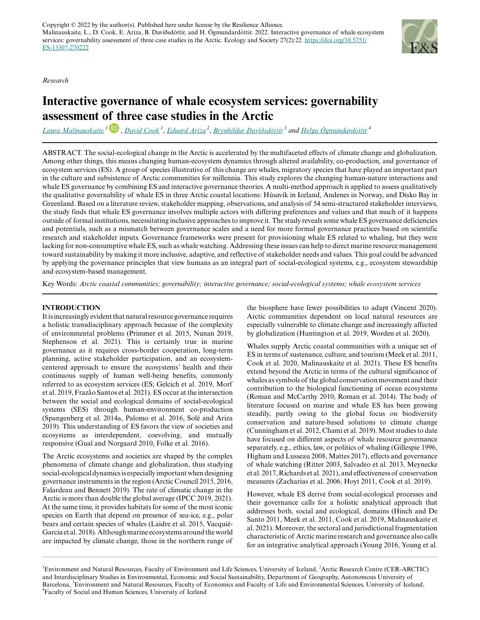*Research*



# **Interactive governance of whale ecosystem services: governability assessment [of th](https://orcid.org/0000-0002-8545-4989)ree case studies in the Arctic**

*[Laura Malinauskaite](mailto:lauram@hi.is)<sup>1</sup>* , *[David Cook](mailto:dac@hi.is)<sup>1</sup>* , *[Eduard Ariza](mailto:Eduard.Ariza@uab.es)<sup>2</sup>* , *[Brynhildur Davíðsdóttir](mailto:bdavids@hi.is)<sup>3</sup> and [Helga Ögmundardóttir](mailto:helgaog@hi.is)<sup>4</sup>*

ABSTRACT. The social-ecological change in the Arctic is accelerated by the multifaceted effects of climate change and globalization. Among other things, this means changing human-ecosystem dynamics through altered availability, co-production, and governance of ecosystem services (ES). A group of species illustrative of this change are whales, migratory species that have played an important part in the culture and subsistence of Arctic communities for millennia. This study explores the changing human-nature interactions and whale ES governance by combining ES and interactive governance theories. A multi-method approach is applied to assess qualitatively the qualitative governability of whale ES in three Arctic coastal locations: Húsavík in Iceland, Andenes in Norway, and Disko Bay in Greenland. Based on a literature review, stakeholder mapping, observations, and analysis of 54 semi-structured stakeholder interviews, the study finds that whale ES governance involves multiple actors with differing preferences and values and that much of it happens outside of formal institutions, necessitating inclusive approaches to improve it. The study reveals some whale ES governance deficiencies and potentials, such as a mismatch between governance scales and a need for more formal governance practices based on scientific research and stakeholder inputs. Governance frameworks were present for provisioning whale ES related to whaling, but they were lacking for non-consumptive whale ES, such as whale watching. Addressing these issues can help to direct marine resource management toward sustainability by making it more inclusive, adaptive, and reflective of stakeholder needs and values. This goal could be advanced by applying the governance principles that view humans as an integral part of social-ecological systems, e.g., ecosystem stewardship and ecosystem-based management.

Key Words: *Arctic coastal communities; governability; interactive governance; social-ecological systems; whale ecosystem services*

# **INTRODUCTION**

It is increasingly evident that natural resource governance requires a holistic transdisciplinary approach because of the complexity of environmental problems (Primmer et al. 2015, Nunan 2019, Stephenson et al. 2021). This is certainly true in marine governance as it requires cross-border cooperation, long-term planning, active stakeholder participation, and an ecosystemcentered approach to ensure the ecosystems' health and their continuous supply of human well-being benefits, commonly referred to as ecosystem services (ES; Gelcich et al. 2019, Morf et al. 2019, Frazão Santos et al. 2021). ES occur at the intersection between the social and ecological domains of social-ecological systems (SES) through human-environment co-production (Spangenberg et al. 2014a, Palomo et al. 2016, Solé and Ariza 2019). This understanding of ES favors the view of societies and ecosystems as interdependent, coevolving, and mutually responsive (Gual and Norgaard 2010, Folke et al. 2016).

The Arctic ecosystems and societies are shaped by the complex phenomena of climate change and globalization, thus studying social-ecological dynamics is especially important when designing governance instruments in the region (Arctic Council 2015, 2016, Falardeau and Bennett 2019). The rate of climatic change in the Arctic is more than double the global average (IPCC 2019, 2021). At the same time, it provides habitats for some of the most iconic species on Earth that depend on presence of sea-ice, e.g., polar bears and certain species of whales (Laidre et al. 2015, Vacquié-Garcia et al. 2018). Although marine ecosystems around the world are impacted by climate change, those in the northern range of

the biosphere have fewer possibilities to adapt (Vincent 2020). Arctic communities dependent on local natural resources are especially vulnerable to climate change and increasingly affected by globalization (Huntington et al. 2019, Worden et al. 2020).

Whales supply Arctic coastal communities with a unique set of ES in terms of sustenance, culture, and tourism (Meek et al. 2011, Cook et al. 2020, Malinauskaite et al. 2021). These ES benefits extend beyond the Arctic in terms of the cultural significance of whales as symbols of the global conservation movement and their contribution to the biological functioning of ocean ecosystems (Roman and McCarthy 2010, Roman et al. 2014). The body of literature focused on marine and whale ES has been growing steadily, partly owing to the global focus on biodiversity conservation and nature-based solutions to climate change (Cunningham et al. 2012, Chami et al. 2019). Most studies to date have focused on different aspects of whale resource governance separately, e.g., ethics, law, or politics of whaling (Gillespie 1996, Higham and Lusseau 2008, Mattes 2017), effects and governance of whale watching (Ritter 2003, Salvadeo et al. 2013, Meynecke et al. 2017, Richards et al. 2021), and effectiveness of conservation measures (Zacharias et al. 2006, Hoyt 2011, Cook et al. 2019).

However, whale ES derive from social-ecological processes and their governance calls for a holistic analytical approach that addresses both, social and ecological, domains (Hinch and De Santo 2011, Meek et al. 2011, Cook et al. 2019, Malinauskaite et al. 2021). Moreover, the sectoral and jurisdictional fragmentation characteristic of Arctic marine research and governance also calls for an integrative analytical approach (Young 2016, Young et al.

<sup>1</sup>Environment and Natural Resources, Faculty of Environment and Life Sciences, University of Iceland, <sup>2</sup>Arctic Research Centre (CER-ARCTIC) and Interdisciplinary Studies in Environmental, Economic and Social Sustainability, Department of Geography, Autonomous University of Barcelona, <sup>3</sup>Environment and Natural Resources, Faculty of Economics and Faculty of Life and Environmental Sciences, University of Iceland, <sup>4</sup>Faculty of Social and Human Sciences, University of Iceland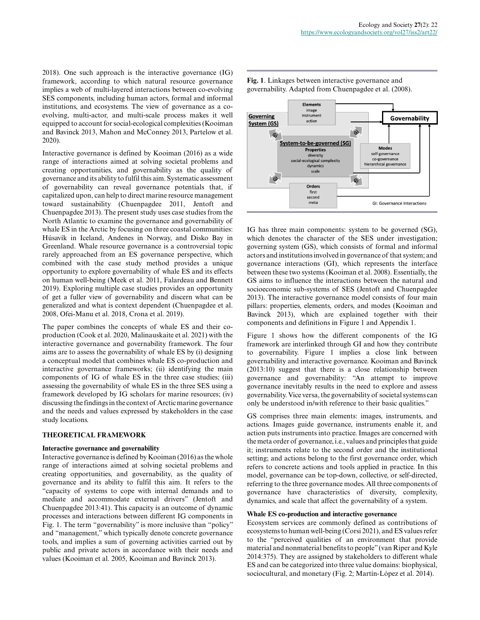2018). One such approach is the interactive governance (IG) framework, according to which natural resource governance implies a web of multi-layered interactions between co-evolving SES components, including human actors, formal and informal institutions, and ecosystems. The view of governance as a coevolving, multi-actor, and multi-scale process makes it well equipped to account for social-ecological complexities (Kooiman and Bavinck 2013, Mahon and McConney 2013, Partelow et al. 2020).

Interactive governance is defined by Kooiman (2016) as a wide range of interactions aimed at solving societal problems and creating opportunities, and governability as the quality of governance and its ability to fulfil this aim. Systematic assessment of governability can reveal governance potentials that, if capitalized upon, can help to direct marine resource management toward sustainability (Chuenpagdee 2011, Jentoft and Chuenpagdee 2013). The present study uses case studies from the North Atlantic to examine the governance and governability of whale ES in the Arctic by focusing on three coastal communities: Húsavík in Iceland, Andenes in Norway, and Disko Bay in Greenland. Whale resource governance is a controversial topic rarely approached from an ES governance perspective, which combined with the case study method provides a unique opportunity to explore governability of whale ES and its effects on human well-being (Meek et al. 2011, Falardeau and Bennett 2019). Exploring multiple case studies provides an opportunity of get a fuller view of governability and discern what can be generalized and what is context dependent (Chuenpagdee et al. 2008, Ofei-Manu et al. 2018, Crona et al. 2019).

The paper combines the concepts of whale ES and their coproduction (Cook et al. 2020, Malinauskaite et al. 2021) with the interactive governance and governability framework. The four aims are to assess the governability of whale ES by (i) designing a conceptual model that combines whale ES co-production and interactive governance frameworks; (ii) identifying the main components of IG of whale ES in the three case studies; (iii) assessing the governability of whale ES in the three SES using a framework developed by IG scholars for marine resources; (iv) discussing the findings in the context of Arctic marine governance and the needs and values expressed by stakeholders in the case study locations.

#### **THEORETICAL FRAMEWORK**

#### **Interactive governance and governability**

Interactive governance is defined by Kooiman (2016) as the whole range of interactions aimed at solving societal problems and creating opportunities, and governability, as the quality of governance and its ability to fulfil this aim. It refers to the "capacity of systems to cope with internal demands and to mediate and accommodate external drivers" (Jentoft and Chuenpagdee 2013:41). This capacity is an outcome of dynamic processes and interactions between different IG components in Fig. 1. The term "governability" is more inclusive than "policy" and "management," which typically denote concrete governance tools, and implies a sum of governing activities carried out by public and private actors in accordance with their needs and values (Kooiman et al. 2005, Kooiman and Bavinck 2013).

Elements image Governing instrument Governability action **System (GS)**  $\ddot{\circ}$  $G$ System-to-be-governed (SG) **Modes Properties** self-governance co-governance<br>hierarchical governance social-ecological complexity dynamics **scale**  $\bullet$  $\mathcal{Q}$ Orders first second meta GI: Governance Interactions

IG has three main components: system to be governed (SG), which denotes the character of the SES under investigation: governing system (GS), which consists of formal and informal actors and institutions involved in governance of that system; and governance interactions (GI), which represents the interface between these two systems (Kooiman et al. 2008). Essentially, the GS aims to influence the interactions between the natural and socioeconomic sub-systems of SES (Jentoft and Chuenpagdee 2013). The interactive governance model consists of four main pillars: properties, elements, orders, and modes (Kooiman and Bavinck 2013), which are explained together with their components and definitions in Figure 1 and Appendix 1.

Figure 1 shows how the different components of the IG framework are interlinked through GI and how they contribute to governability. Figure 1 implies a close link between governability and interactive governance. Kooiman and Bavinck (2013:10) suggest that there is a close relationship between governance and governability: "An attempt to improve governance inevitably results in the need to explore and assess governability. Vice versa, the governability of societal systems can only be understood in/with reference to their basic qualities."

GS comprises three main elements: images, instruments, and actions. Images guide governance, instruments enable it, and action puts instruments into practice. Images are concerned with the meta order of governance, i.e., values and principles that guide it; instruments relate to the second order and the institutional setting; and actions belong to the first governance order, which refers to concrete actions and tools applied in practice. In this model, governance can be top-down, collective, or self-directed, referring to the three governance modes. All three components of governance have characteristics of diversity, complexity, dynamics, and scale that affect the governability of a system.

#### **Whale ES co-production and interactive governance**

Ecosystem services are commonly defined as contributions of ecosystems to human well-being (Corsi 2021), and ES values refer to the "perceived qualities of an environment that provide material and nonmaterial benefits to people" (van Riper and Kyle 2014:375). They are assigned by stakeholders to different whale ES and can be categorized into three value domains: biophysical, sociocultural, and monetary (Fig. 2; Martín-López et al. 2014).

**Fig. 1**. Linkages between interactive governance and governability. Adapted from Chuenpagdee et al. (2008).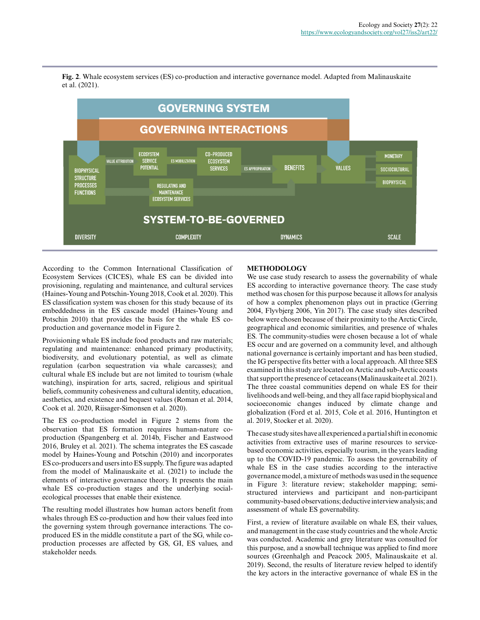

**Fig. 2**. Whale ecosystem services (ES) co-production and interactive governance model. Adapted from Malinauskaite et al. (2021).

According to the Common International Classification of Ecosystem Services (CICES), whale ES can be divided into provisioning, regulating and maintenance, and cultural services (Haines-Young and Potschin-Young 2018, Cook et al. 2020). This ES classification system was chosen for this study because of its embeddedness in the ES cascade model (Haines-Young and Potschin 2010) that provides the basis for the whale ES coproduction and governance model in Figure 2.

Provisioning whale ES include food products and raw materials; regulating and maintenance: enhanced primary productivity, biodiversity, and evolutionary potential, as well as climate regulation (carbon sequestration via whale carcasses); and cultural whale ES include but are not limited to tourism (whale watching), inspiration for arts, sacred, religious and spiritual beliefs, community cohesiveness and cultural identity, education, aesthetics, and existence and bequest values (Roman et al. 2014, Cook et al. 2020, Riisager-Simonsen et al. 2020).

The ES co-production model in Figure 2 stems from the observation that ES formation requires human-nature coproduction (Spangenberg et al. 2014b, Fischer and Eastwood 2016, Bruley et al. 2021). The schema integrates the ES cascade model by Haines-Young and Potschin (2010) and incorporates ES co-producers and users into ES supply. The figure was adapted from the model of Malinauskaite et al. (2021) to include the elements of interactive governance theory. It presents the main whale ES co-production stages and the underlying socialecological processes that enable their existence.

The resulting model illustrates how human actors benefit from whales through ES co-production and how their values feed into the governing system through governance interactions. The coproduced ES in the middle constitute a part of the SG, while coproduction processes are affected by GS, GI, ES values, and stakeholder needs.

# **METHODOLOGY**

We use case study research to assess the governability of whale ES according to interactive governance theory. The case study method was chosen for this purpose because it allows for analysis of how a complex phenomenon plays out in practice (Gerring 2004, Flyvbjerg 2006, Yin 2017). The case study sites described below were chosen because of their proximity to the Arctic Circle, geographical and economic similarities, and presence of whales ES. The community-studies were chosen because a lot of whale ES occur and are governed on a community level, and although national governance is certainly important and has been studied, the IG perspective fits better with a local approach. All three SES examined in this study are located on Arctic and sub-Arctic coasts that support the presence of cetaceans (Malinauskaite et al. 2021). The three coastal communities depend on whale ES for their livelihoods and well-being, and they all face rapid biophysical and socioeconomic changes induced by climate change and globalization (Ford et al. 2015, Cole et al. 2016, Huntington et al. 2019, Stocker et al. 2020).

The case study sites have all experienced a partial shift in economic activities from extractive uses of marine resources to servicebased economic activities, especially tourism, in the years leading up to the COVID-19 pandemic. To assess the governability of whale ES in the case studies according to the interactive governance model, a mixture of methods was used in the sequence in Figure 3: literature review; stakeholder mapping; semistructured interviews and participant and non-participant community-based observations; deductive interview analysis; and assessment of whale ES governability.

First, a review of literature available on whale ES, their values, and management in the case study countries and the whole Arctic was conducted. Academic and grey literature was consulted for this purpose, and a snowball technique was applied to find more sources (Greenhalgh and Peacock 2005, Malinauskaite et al. 2019). Second, the results of literature review helped to identify the key actors in the interactive governance of whale ES in the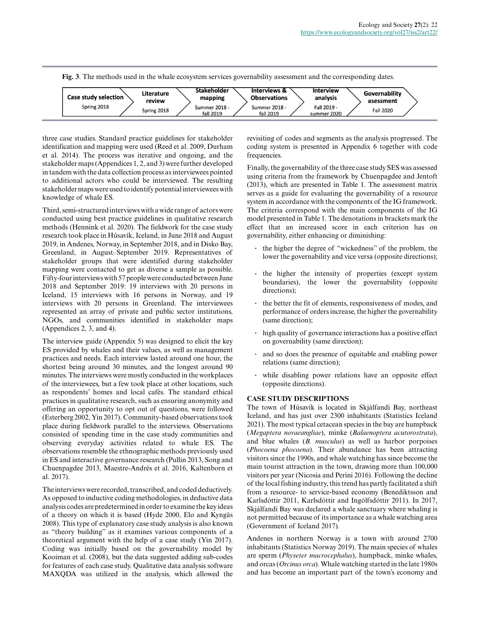**Fig. 3**. The methods used in the whale ecosystem services governability assessment and the corresponding dates.

| <b>Case study selection</b> | Literature<br>review | Stakeholder<br>mapping     | Interviews &<br><b>Observations</b> | Interview<br>analysis      | Governability<br>asessment |
|-----------------------------|----------------------|----------------------------|-------------------------------------|----------------------------|----------------------------|
| Spring 2018                 | Spring 2018          | Summer 2018 -<br>fall 2019 | Summer 2018 -<br>fall 2019          | Fall 2019 -<br>summer 2020 | <b>Fall 2020</b>           |

three case studies. Standard practice guidelines for stakeholder identification and mapping were used (Reed et al. 2009, Durham et al. 2014). The process was iterative and ongoing, and the stakeholder maps (Appendices 1, 2, and 3) were further developed in tandem with the data collection process as interviewees pointed to additional actors who could be interviewed. The resulting stakeholder maps were used to identify potential interviewees with knowledge of whale ES.

Third, semi-structured interviews with a wide range of actors were conducted using best practice guidelines in qualitative research methods (Hennink et al. 2020). The fieldwork for the case study research took place in Húsavík, Iceland, in June 2018 and August 2019, in Andenes, Norway, in September 2018, and in Disko Bay, Greenland, in August–September 2019. Representatives of stakeholder groups that were identified during stakeholder mapping were contacted to get as diverse a sample as possible. Fifty-four interviews with 57 people were conducted between June 2018 and September 2019: 19 interviews with 20 persons in Iceland, 15 interviews with 16 persons in Norway, and 19 interviews with 20 persons in Greenland. The interviewees represented an array of private and public sector institutions, NGOs, and communities identified in stakeholder maps (Appendices 2, 3, and 4).

The interview guide (Appendix 5) was designed to elicit the key ES provided by whales and their values, as well as management practices and needs. Each interview lasted around one hour, the shortest being around 30 minutes, and the longest around 90 minutes. The interviews were mostly conducted in the workplaces of the interviewees, but a few took place at other locations, such as respondents' homes and local cafés. The standard ethical practices in qualitative research, such as ensuring anonymity and offering an opportunity to opt out of questions, were followed (Esterberg 2002, Yin 2017). Community-based observations took place during fieldwork parallel to the interviews. Observations consisted of spending time in the case study communities and observing everyday activities related to whale ES. The observations resemble the ethnographic methods previously used in ES and interactive governance research (Pullin 2013, Song and Chuenpagdee 2013, Maestre-Andrés et al. 2016, Kaltenborn et al. 2017).

The interviews were recorded, transcribed, and coded deductively. As opposed to inductive coding methodologies, in deductive data analysis codes are predetermined in order to examine the key ideas of a theory on which it is based (Hyde 2000, Elo and Kyngäs 2008). This type of explanatory case study analysis is also known as "theory building" as it examines various components of a theoretical argument with the help of a case study (Yin 2017). Coding was initially based on the governability model by Kooiman et al. (2008), but the data suggested adding sub-codes for features of each case study. Qualitative data analysis software MAXQDA was utilized in the analysis, which allowed the

revisiting of codes and segments as the analysis progressed. The coding system is presented in Appendix 6 together with code frequencies.

Finally, the governability of the three case study SES was assessed using criteria from the framework by Chuenpagdee and Jentoft (2013), which are presented in Table 1. The assessment matrix serves as a guide for evaluating the governability of a resource system in accordance with the components of the IG framework. The criteria correspond with the main components of the IG model presented in Table 1. The denotations in brackets mark the effect that an increased score in each criterion has on governability, either enhancing or diminishing:

- **.** the higher the degree of "wickedness" of the problem, the lower the governability and vice versa (opposite directions);
- **.** the higher the intensity of properties (except system boundaries), the lower the governability (opposite directions);
- **.** the better the fit of elements, responsiveness of modes, and performance of orders increase, the higher the governability (same direction);
- **.** high quality of governance interactions has a positive effect on governability (same direction);
- **.** and so does the presence of equitable and enabling power relations (same direction);
- **.** while disabling power relations have an opposite effect (opposite directions).

# **CASE STUDY DESCRIPTIONS**

The town of Húsavík is located in Skjálfandi Bay, northeast Iceland, and has just over 2300 inhabitants (Statistics Iceland 2021). The most typical cetacean species in the bay are humpback (*Megaptera novaeangliae*), minke (*Balaenoptera acutorostrata*), and blue whales (*B. musculus*) as well as harbor porpoises (*Phocoena phocoena*). Their abundance has been attracting visitors since the 1990s, and whale watching has since become the main tourist attraction in the town, drawing more than 100,000 visitors per year (Nicosia and Perini 2016). Following the decline of the local fishing industry, this trend has partly facilitated a shift from a resource- to service-based economy (Benediktsson and Karlsdóttir 2011, Karlsdóttir and Ingólfsdóttir 2011). In 2017, Skjálfandi Bay was declared a whale sanctuary where whaling is not permitted because of its importance as a whale watching area (Government of Iceland 2017).

Andenes in northern Norway is a town with around 2700 inhabitants (Statistics Norway 2019). The main species of whales are sperm (*Physeter macrocephalus*), humpback, minke whales, and orcas (*Orcinus orca*). Whale watching started in the late 1980s and has become an important part of the town's economy and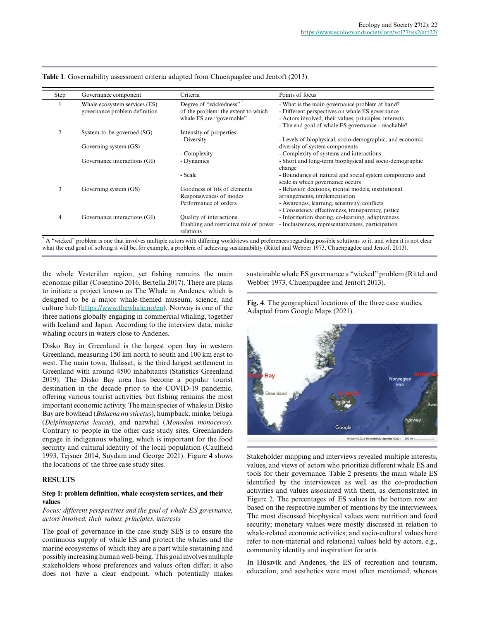| Step           | Governance component                                           | Criteria                                                                                                | Points of focus                                                                                                                                                                                                   |
|----------------|----------------------------------------------------------------|---------------------------------------------------------------------------------------------------------|-------------------------------------------------------------------------------------------------------------------------------------------------------------------------------------------------------------------|
|                | Whale ecosystem services (ES)<br>governance problem definition | Degree of "wickedness" <sup>†</sup><br>of the problem: the extent to which<br>whale ES are "governable" | - What is the main governance problem at hand?<br>- Different perspectives on whale ES governance<br>- Actors involved, their values, principles, interests<br>- The end goal of whale ES governance - reachable? |
| $\overline{c}$ | System-to-be-governed (SG)                                     | Intensity of properties:<br>- Diversity                                                                 | - Levels of biophysical, socio-demographic, and economic                                                                                                                                                          |
|                | Governing system (GS)                                          | - Complexity                                                                                            | diversity of system components<br>- Complexity of systems and interactions                                                                                                                                        |
|                | Governance interactions (GI)                                   | - Dynamics                                                                                              | - Short and long-term biophysical and socio-demographic<br>change                                                                                                                                                 |
|                |                                                                | - Scale                                                                                                 | - Boundaries of natural and social system components and<br>scale in which governance occurs                                                                                                                      |
| 3              | Governing system (GS)                                          | Goodness of fits of elements<br>Responsiveness of modes<br>Performance of orders                        | - Behavior, decisions, mental models, institutional<br>arrangements, implementation<br>- Awareness, learning, sensitivity, conflicts                                                                              |
| 4              | Governance interactions (GI)                                   | Quality of interactions                                                                                 | - Consistency, effectiveness, transparency, justice<br>- Information sharing, co-learning, adaptiveness                                                                                                           |
|                |                                                                | Enabling and restrictive role of power<br>relations                                                     | - Inclusiveness, representativeness, participation                                                                                                                                                                |

**Table 1**. Governability assessment criteria adapted from Chuenpagdee and Jentoft (2013).

<sup>†</sup> A "wicked" problem is one that involves multiple actors with differing worldviews and preferences regarding possible solutions to it, and when it is not clear what the end goal of solving it will be, for example, a problem of achieving sustainability (Rittel and Webber 1973, Chuenpagdee and Jentoft 2013).

the whole Vesterålen region, yet fishing remains the main economic pillar (Cosentino 2016, Bertella 2017). There are plans to initiate a project known as The Whale in Andenes, which is designed to be a major whale-themed museum, science, and culture hub [\(https://www.thewhale.no/en](https://www.thewhale.no/en)). Norway is one of the three nations globally engaging in commercial whaling, together with Iceland and Japan. According to the interview data, minke whaling occurs in waters close to Andenes.

Disko Bay in Greenland is the largest open bay in western Greenland, measuring 150 km north to south and 100 km east to west. The main town, Ilulissat, is the third largest settlement in Greenland with around 4500 inhabitants (Statistics Greenland 2019). The Disko Bay area has become a popular tourist destination in the decade prior to the COVID-19 pandemic, offering various tourist activities, but fishing remains the most important economic activity. The main species of whales in Disko Bay are bowhead (*Balaena mysticetus*), humpback, minke, beluga (*Delphinapterus leucas*), and narwhal (*Monodon monoceros*). Contrary to people in the other case study sites, Greenlanders engage in indigenous whaling, which is important for the food security and cultural identity of the local population (Caulfield 1993, Tejsner 2014, Suydam and George 2021). Figure 4 shows the locations of the three case study sites.

# **RESULTS**

#### **Step 1: problem definition, whale ecosystem services, and their values**

*Focus: different perspectives and the goal of whale ES governance, actors involved, their values, principles, interests*

The goal of governance in the case study SES is to ensure the continuous supply of whale ES and protect the whales and the marine ecosystems of which they are a part while sustaining and possibly increasing human well-being. This goal involves multiple stakeholders whose preferences and values often differ; it also does not have a clear endpoint, which potentially makes sustainable whale ES governance a "wicked" problem (Rittel and Webber 1973, Chuenpagdee and Jentoft 2013).





Stakeholder mapping and interviews revealed multiple interests, values, and views of actors who prioritize different whale ES and tools for their governance. Table 2 presents the main whale ES identified by the interviewees as well as the co-production activities and values associated with them, as demonstrated in Figure 2. The percentages of ES values in the bottom row are based on the respective number of mentions by the interviewees. The most discussed biophysical values were nutrition and food security; monetary values were mostly discussed in relation to whale-related economic activities; and socio-cultural values here refer to non-material and relational values held by actors, e.g., community identity and inspiration for arts.

In Húsavík and Andenes, the ES of recreation and tourism, education, and aesthetics were most often mentioned, whereas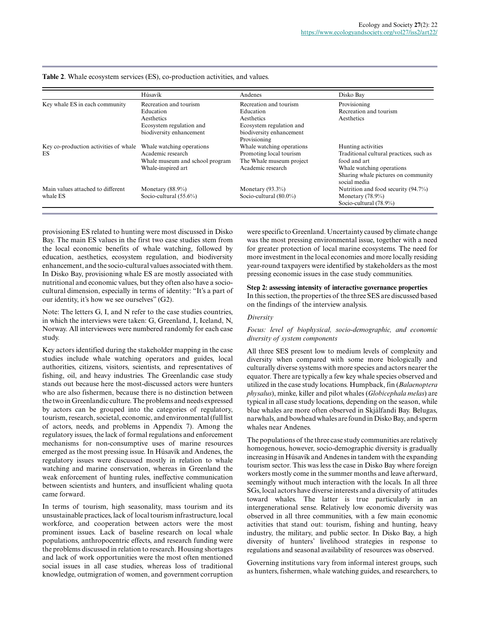|                                       | Húsavík                                              | Andenes                   | Disko Bay                                           |
|---------------------------------------|------------------------------------------------------|---------------------------|-----------------------------------------------------|
| Key whale ES in each community        | Recreation and tourism                               | Recreation and tourism    | Provisioning                                        |
|                                       | Education                                            | Education                 | Recreation and tourism                              |
|                                       | Aesthetics                                           | Aesthetics                | Aesthetics                                          |
|                                       | Ecosystem regulation and<br>Ecosystem regulation and |                           |                                                     |
|                                       | biodiversity enhancement                             | biodiversity enhancement  |                                                     |
|                                       |                                                      | Provisioning              |                                                     |
| Key co-production activities of whale | Whale watching operations                            | Whale watching operations | Hunting activities                                  |
| <b>ES</b>                             | Academic research                                    | Promoting local tourism   | Traditional cultural practices, such as             |
|                                       | Whale museum and school program                      | The Whale museum project  | food and art                                        |
|                                       | Whale-inspired art                                   | Academic research         | Whale watching operations.                          |
|                                       |                                                      |                           | Sharing whale pictures on community<br>social media |
| Main values attached to different     | Monetary $(88.9\%)$                                  | Monetary $(93.3\%)$       | Nutrition and food security (94.7%)                 |
| whale ES                              | Socio-cultural $(55.6\%)$                            | Socio-cultural (80.0%)    | Monetary $(78.9\%)$                                 |
|                                       |                                                      |                           | Socio-cultural (78.9%)                              |

**Table 2**. Whale ecosystem services (ES), co-production activities, and values.

provisioning ES related to hunting were most discussed in Disko Bay. The main ES values in the first two case studies stem from the local economic benefits of whale watching, followed by education, aesthetics, ecosystem regulation, and biodiversity enhancement, and the socio-cultural values associated with them. In Disko Bay, provisioning whale ES are mostly associated with nutritional and economic values, but they often also have a sociocultural dimension, especially in terms of identity: "It's a part of our identity, it's how we see ourselves" (G2).

Note: The letters G, I, and N refer to the case studies countries, in which the interviews were taken: G, Greenland, I, Iceland, N, Norway. All interviewees were numbered randomly for each case study.

Key actors identified during the stakeholder mapping in the case studies include whale watching operators and guides, local authorities, citizens, visitors, scientists, and representatives of fishing, oil, and heavy industries. The Greenlandic case study stands out because here the most-discussed actors were hunters who are also fishermen, because there is no distinction between the two in Greenlandic culture. The problems and needs expressed by actors can be grouped into the categories of regulatory, tourism, research, societal, economic, and environmental (full list of actors, needs, and problems in Appendix 7). Among the regulatory issues, the lack of formal regulations and enforcement mechanisms for non-consumptive uses of marine resources emerged as the most pressing issue. In Húsavík and Andenes, the regulatory issues were discussed mostly in relation to whale watching and marine conservation, whereas in Greenland the weak enforcement of hunting rules, ineffective communication between scientists and hunters, and insufficient whaling quota came forward.

In terms of tourism, high seasonality, mass tourism and its unsustainable practices, lack of local tourism infrastructure, local workforce, and cooperation between actors were the most prominent issues. Lack of baseline research on local whale populations, anthropocentric effects, and research funding were the problems discussed in relation to research. Housing shortages and lack of work opportunities were the most often mentioned social issues in all case studies, whereas loss of traditional knowledge, outmigration of women, and government corruption were specific to Greenland. Uncertainty caused by climate change was the most pressing environmental issue, together with a need for greater protection of local marine ecosystems. The need for more investment in the local economies and more locally residing year-round taxpayers were identified by stakeholders as the most pressing economic issues in the case study communities.

#### **Step 2: assessing intensity of interactive governance properties**

In this section, the properties of the three SES are discussed based on the findings of the interview analysis.

#### *Diversity*

# *Focus: level of biophysical, socio-demographic, and economic diversity of system components*

All three SES present low to medium levels of complexity and diversity when compared with some more biologically and culturally diverse systems with more species and actors nearer the equator. There are typically a few key whale species observed and utilized in the case study locations. Humpback, fin (*Balaenoptera physalus*), minke, killer and pilot whales (*Globicephala melas*) are typical in all case study locations, depending on the season, while blue whales are more often observed in Skjálfandi Bay. Belugas, narwhals, and bowhead whales are found in Disko Bay, and sperm whales near Andenes.

The populations of the three case study communities are relatively homogenous, however, socio-demographic diversity is gradually increasing in Húsavík and Andenes in tandem with the expanding tourism sector. This was less the case in Disko Bay where foreign workers mostly come in the summer months and leave afterward, seemingly without much interaction with the locals. In all three SGs, local actors have diverse interests and a diversity of attitudes toward whales. The latter is true particularly in an intergenerational sense. Relatively low economic diversity was observed in all three communities, with a few main economic activities that stand out: tourism, fishing and hunting, heavy industry, the military, and public sector. In Disko Bay, a high diversity of hunters' livelihood strategies in response to regulations and seasonal availability of resources was observed.

Governing institutions vary from informal interest groups, such as hunters, fishermen, whale watching guides, and researchers, to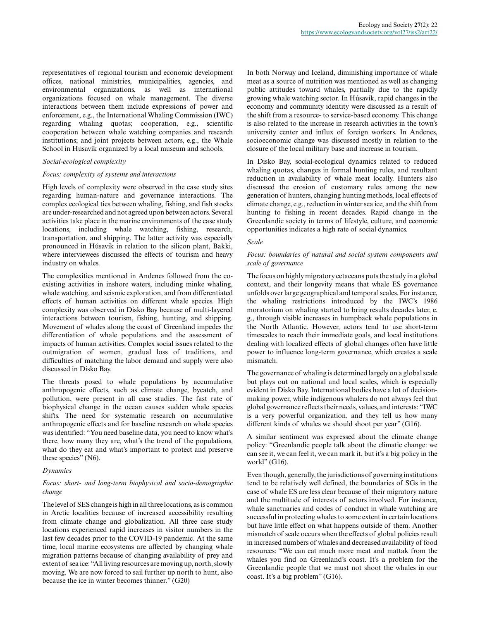representatives of regional tourism and economic development offices, national ministries, municipalities, agencies, and environmental organizations, as well as international organizations focused on whale management. The diverse interactions between them include expressions of power and enforcement, e.g., the International Whaling Commission (IWC) regarding whaling quotas; cooperation, e.g., scientific cooperation between whale watching companies and research institutions; and joint projects between actors, e.g., the Whale School in Húsavík organized by a local museum and schools.

## *Social-ecological complexity*

#### *Focus: complexity of systems and interactions*

High levels of complexity were observed in the case study sites regarding human-nature and governance interactions. The complex ecological ties between whaling, fishing, and fish stocks are under-researched and not agreed upon between actors. Several activities take place in the marine environments of the case study locations, including whale watching, fishing, research, transportation, and shipping. The latter activity was especially pronounced in Húsavík in relation to the silicon plant, Bakki, where interviewees discussed the effects of tourism and heavy industry on whales.

The complexities mentioned in Andenes followed from the coexisting activities in inshore waters, including minke whaling, whale watching, and seismic exploration, and from differentiated effects of human activities on different whale species. High complexity was observed in Disko Bay because of multi-layered interactions between tourism, fishing, hunting, and shipping. Movement of whales along the coast of Greenland impedes the differentiation of whale populations and the assessment of impacts of human activities. Complex social issues related to the outmigration of women, gradual loss of traditions, and difficulties of matching the labor demand and supply were also discussed in Disko Bay.

The threats posed to whale populations by accumulative anthropogenic effects, such as climate change, bycatch, and pollution, were present in all case studies. The fast rate of biophysical change in the ocean causes sudden whale species shifts. The need for systematic research on accumulative anthropogenic effects and for baseline research on whale species was identified: "You need baseline data, you need to know what's there, how many they are, what's the trend of the populations, what do they eat and what's important to protect and preserve these species" (N6).

#### *Dynamics*

# *Focus: short- and long-term biophysical and socio-demographic change*

The level of SES change is high in all three locations, as is common in Arctic localities because of increased accessibility resulting from climate change and globalization. All three case study locations experienced rapid increases in visitor numbers in the last few decades prior to the COVID-19 pandemic. At the same time, local marine ecosystems are affected by changing whale migration patterns because of changing availability of prey and extent of sea ice: "All living resources are moving up, north, slowly moving. We are now forced to sail further up north to hunt, also because the ice in winter becomes thinner." (G20)

In both Norway and Iceland, diminishing importance of whale meat as a source of nutrition was mentioned as well as changing public attitudes toward whales, partially due to the rapidly growing whale watching sector. In Húsavík, rapid changes in the economy and community identity were discussed as a result of the shift from a resource- to service-based economy. This change is also related to the increase in research activities in the town's university center and influx of foreign workers. In Andenes, socioeconomic change was discussed mostly in relation to the closure of the local military base and increase in tourism.

In Disko Bay, social-ecological dynamics related to reduced whaling quotas, changes in formal hunting rules, and resultant reduction in availability of whale meat locally. Hunters also discussed the erosion of customary rules among the new generation of hunters, changing hunting methods, local effects of climate change, e.g., reduction in winter sea ice, and the shift from hunting to fishing in recent decades. Rapid change in the Greenlandic society in terms of lifestyle, culture, and economic opportunities indicates a high rate of social dynamics.

## *Scale*

## *Focus: boundaries of natural and social system components and scale of governance*

The focus on highly migratory cetaceans puts the study in a global context, and their longevity means that whale ES governance unfolds over large geographical and temporal scales. For instance, the whaling restrictions introduced by the IWC's 1986 moratorium on whaling started to bring results decades later, e. g., through visible increases in humpback whale populations in the North Atlantic. However, actors tend to use short-term timescales to reach their immediate goals, and local institutions dealing with localized effects of global changes often have little power to influence long-term governance, which creates a scale mismatch.

The governance of whaling is determined largely on a global scale but plays out on national and local scales, which is especially evident in Disko Bay. International bodies have a lot of decisionmaking power, while indigenous whalers do not always feel that global governance reflects their needs, values, and interests: "IWC is a very powerful organization, and they tell us how many different kinds of whales we should shoot per year" (G16).

A similar sentiment was expressed about the climate change policy: "Greenlandic people talk about the climatic change: we can see it, we can feel it, we can mark it, but it's a big policy in the world" (G16).

Even though, generally, the jurisdictions of governing institutions tend to be relatively well defined, the boundaries of SGs in the case of whale ES are less clear because of their migratory nature and the multitude of interests of actors involved. For instance, whale sanctuaries and codes of conduct in whale watching are successful in protecting whales to some extent in certain locations but have little effect on what happens outside of them. Another mismatch of scale occurs when the effects of global policies result in increased numbers of whales and decreased availability of food resources: "We can eat much more meat and mattak from the whales you find on Greenland's coast. It's a problem for the Greenlandic people that we must not shoot the whales in our coast. It's a big problem" (G16).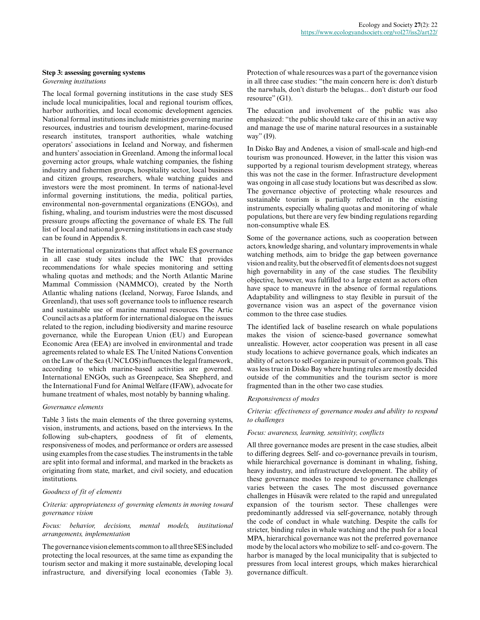## **Step 3: assessing governing systems**

*Governing institutions*

The local formal governing institutions in the case study SES include local municipalities, local and regional tourism offices, harbor authorities, and local economic development agencies. National formal institutions include ministries governing marine resources, industries and tourism development, marine-focused research institutes, transport authorities, whale watching operators' associations in Iceland and Norway, and fishermen and hunters' association in Greenland. Among the informal local governing actor groups, whale watching companies, the fishing industry and fishermen groups, hospitality sector, local business and citizen groups, researchers, whale watching guides and investors were the most prominent. In terms of national-level informal governing institutions, the media, political parties, environmental non-governmental organizations (ENGOs), and fishing, whaling, and tourism industries were the most discussed pressure groups affecting the governance of whale ES. The full list of local and national governing institutions in each case study can be found in Appendix 8.

The international organizations that affect whale ES governance in all case study sites include the IWC that provides recommendations for whale species monitoring and setting whaling quotas and methods; and the North Atlantic Marine Mammal Commission (NAMMCO), created by the North Atlantic whaling nations (Iceland, Norway, Faroe Islands, and Greenland), that uses soft governance tools to influence research and sustainable use of marine mammal resources. The Artic Council acts as a platform for international dialogue on the issues related to the region, including biodiversity and marine resource governance, while the European Union (EU) and European Economic Area (EEA) are involved in environmental and trade agreements related to whale ES. The United Nations Convention on the Law of the Sea (UNCLOS) influences the legal framework, according to which marine-based activities are governed. International ENGOs, such as Greenpeace, Sea Shepherd, and the International Fund for Animal Welfare (IFAW), advocate for humane treatment of whales, most notably by banning whaling.

#### *Governance elements*

Table 3 lists the main elements of the three governing systems, vision, instruments, and actions, based on the interviews. In the following sub-chapters, goodness of fit of elements, responsiveness of modes, and performance or orders are assessed using examples from the case studies. The instruments in the table are split into formal and informal, and marked in the brackets as originating from state, market, and civil society, and education institutions.

#### *Goodness of fit of elements*

## *Criteria: appropriateness of governing elements in moving toward governance vision*

## *Focus: behavior, decisions, mental models, institutional arrangements, implementation*

The governance vision elements common to all three SES included protecting the local resources, at the same time as expanding the tourism sector and making it more sustainable, developing local infrastructure, and diversifying local economies (Table 3).

Protection of whale resources was a part of the governance vision in all three case studies: "the main concern here is: don't disturb the narwhals, don't disturb the belugas... don't disturb our food resource" (G1).

The education and involvement of the public was also emphasized: "the public should take care of this in an active way and manage the use of marine natural resources in a sustainable way" (19).

In Disko Bay and Andenes, a vision of small-scale and high-end tourism was pronounced. However, in the latter this vision was supported by a regional tourism development strategy, whereas this was not the case in the former. Infrastructure development was ongoing in all case study locations but was described as slow. The governance objective of protecting whale resources and sustainable tourism is partially reflected in the existing instruments, especially whaling quotas and monitoring of whale populations, but there are very few binding regulations regarding non-consumptive whale ES.

Some of the governance actions, such as cooperation between actors, knowledge sharing, and voluntary improvements in whale watching methods, aim to bridge the gap between governance vision and reality, but the observed fit of elements does not suggest high governability in any of the case studies. The flexibility objective, however, was fulfilled to a large extent as actors often have space to maneuvre in the absence of formal regulations. Adaptability and willingness to stay flexible in pursuit of the governance vision was an aspect of the governance vision common to the three case studies.

The identified lack of baseline research on whale populations makes the vision of science-based governance somewhat unrealistic. However, actor cooperation was present in all case study locations to achieve governance goals, which indicates an ability of actors to self-organize in pursuit of common goals. This was less true in Disko Bay where hunting rules are mostly decided outside of the communities and the tourism sector is more fragmented than in the other two case studies.

#### *Responsiveness of modes*

*Criteria: effectiveness of governance modes and ability to respond to challenges*

## *Focus: awareness, learning, sensitivity, conflicts*

All three governance modes are present in the case studies, albeit to differing degrees. Self- and co-governance prevails in tourism, while hierarchical governance is dominant in whaling, fishing, heavy industry, and infrastructure development. The ability of these governance modes to respond to governance challenges varies between the cases. The most discussed governance challenges in Húsavík were related to the rapid and unregulated expansion of the tourism sector. These challenges were predominantly addressed via self-governance, notably through the code of conduct in whale watching. Despite the calls for stricter, binding rules in whale watching and the push for a local MPA, hierarchical governance was not the preferred governance mode by the local actors who mobilize to self- and co-govern. The harbor is managed by the local municipality that is subjected to pressures from local interest groups, which makes hierarchical governance difficult.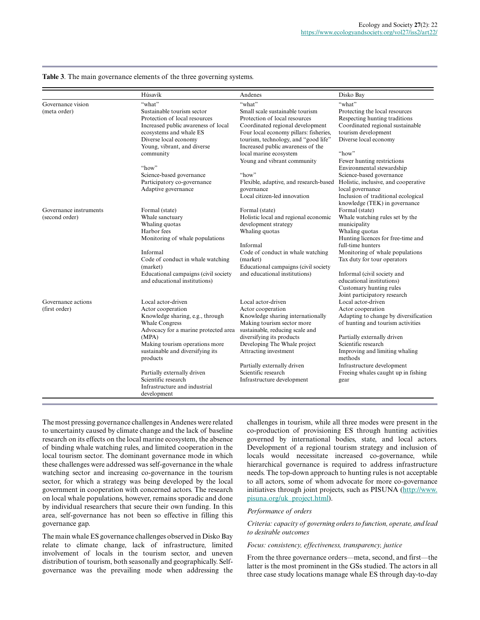|                        | Húsavík                              | Andenes                                | Disko Bay                                          |  |
|------------------------|--------------------------------------|----------------------------------------|----------------------------------------------------|--|
| Governance vision      | "what"                               | "what"                                 | "what"                                             |  |
| (meta order)           | Sustainable tourism sector           | Small scale sustainable tourism        | Protecting the local resources                     |  |
|                        | Protection of local resources        | Protection of local resources          | Respecting hunting traditions                      |  |
|                        | Increased public awareness of local  | Coordinated regional development       | Coordinated regional sustainable                   |  |
|                        | ecosystems and whale ES              | Four local economy pillars: fisheries, | tourism development                                |  |
|                        | Diverse local economy                | tourism, technology, and "good life"   | Diverse local economy                              |  |
|                        | Young, vibrant, and diverse          | Increased public awareness of the      |                                                    |  |
|                        | community                            | local marine ecosystem                 | "how"                                              |  |
|                        |                                      | Young and vibrant community            | Fewer hunting restrictions                         |  |
|                        | "how"                                |                                        | Environmental stewardship                          |  |
|                        | Science-based governance             | "how"                                  | Science-based governance                           |  |
|                        | Participatory co-governance          | Flexible, adaptive, and research-based | Holistic, inclusive, and cooperative               |  |
|                        | Adaptive governance                  | governance                             | local governance                                   |  |
|                        |                                      | Local citizen-led innovation           | Inclusion of traditional ecological                |  |
|                        |                                      |                                        | knowledge (TEK) in governance                      |  |
| Governance instruments | Formal (state)                       | Formal (state)                         | Formal (state)                                     |  |
| (second order)         | Whale sanctuary                      | Holistic local and regional economic   | Whale watching rules set by the                    |  |
|                        | Whaling quotas                       | development strategy                   | municipality                                       |  |
|                        | Harbor fees                          | Whaling quotas                         | Whaling quotas                                     |  |
|                        | Monitoring of whale populations      |                                        | Hunting licences for free-time and                 |  |
|                        |                                      | Informal                               | full-time hunters                                  |  |
|                        | Informal                             | Code of conduct in whale watching      | Monitoring of whale populations                    |  |
|                        | Code of conduct in whale watching    | (market)                               | Tax duty for tour operators                        |  |
|                        | (market)                             | Educational campaigns (civil society   |                                                    |  |
|                        | Educational campaigns (civil society | and educational institutions)          | Informal (civil society and                        |  |
|                        | and educational institutions)        |                                        | educational institutions)                          |  |
|                        |                                      |                                        | Customary hunting rules                            |  |
|                        |                                      |                                        | Joint participatory research                       |  |
| Governance actions     | Local actor-driven                   | Local actor-driven                     | Local actor-driven                                 |  |
| (first order)          | Actor cooperation                    | Actor cooperation                      | Actor cooperation                                  |  |
|                        | Knowledge sharing, e.g., through     | Knowledge sharing internationally      | Adapting to change by diversification              |  |
|                        | <b>Whale Congress</b>                | Making tourism sector more             | of hunting and tourism activities                  |  |
|                        | Advocacy for a marine protected area | sustainable, reducing scale and        |                                                    |  |
|                        | (MPA)                                | diversifying its products              | Partially externally driven<br>Scientific research |  |
|                        | Making tourism operations more       | Developing The Whale project           |                                                    |  |
|                        | sustainable and diversifying its     | Attracting investment                  | Improving and limiting whaling<br>methods          |  |
|                        | products                             | Partially externally driven            | Infrastructure development                         |  |
|                        | Partially externally driven          | Scientific research                    | Freeing whales caught up in fishing                |  |
|                        | Scientific research                  | Infrastructure development             |                                                    |  |
|                        | Infrastructure and industrial        |                                        | gear                                               |  |
|                        | development                          |                                        |                                                    |  |
|                        |                                      |                                        |                                                    |  |

**Table 3**. The main governance elements of the three governing systems.

The most pressing governance challenges in Andenes were related to uncertainty caused by climate change and the lack of baseline research on its effects on the local marine ecosystem, the absence of binding whale watching rules, and limited cooperation in the local tourism sector. The dominant governance mode in which these challenges were addressed was self-governance in the whale watching sector and increasing co-governance in the tourism sector, for which a strategy was being developed by the local government in cooperation with concerned actors. The research on local whale populations, however, remains sporadic and done by individual researchers that secure their own funding. In this area, self-governance has not been so effective in filling this governance gap.

The main whale ES governance challenges observed in Disko Bay relate to climate change, lack of infrastructure, limited involvement of locals in the tourism sector, and uneven distribution of tourism, both seasonally and geographically. Selfgovernance was the prevailing mode when addressing the

challenges in tourism, while all three modes were present in the co-production of provisioning ES through hunting activities governed by international bodies, state, and local actors. Development of a regional tourism strategy and inclusion of locals would necessitate increased co-governance, while hierarchical governance is required to address infrastructure needs. The top-down approach to hunting rules is not acceptable to all actors, some of whom advocate for more co-governance initiatives through joint projects, such as PISUNA ([http://www.](http://www.pisuna.org/uk_project.html) [pisuna.org/uk\\_project.html](http://www.pisuna.org/uk_project.html)).

#### *Performance of orders*

# *Criteria: capacity of governing orders to function, operate, and lead to desirable outcomes*

*Focus: consistency, effectiveness, transparency, justice*

From the three governance orders—meta, second, and first—the latter is the most prominent in the GSs studied. The actors in all three case study locations manage whale ES through day-to-day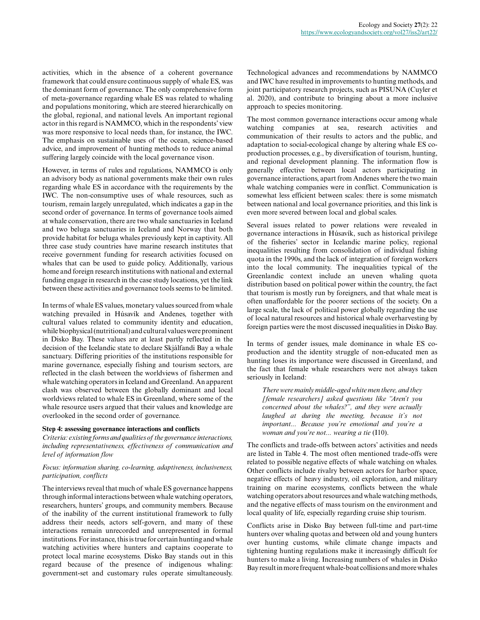activities, which in the absence of a coherent governance framework that could ensure continuous supply of whale ES, was the dominant form of governance. The only comprehensive form of meta-governance regarding whale ES was related to whaling and populations monitoring, which are steered hierarchically on the global, regional, and national levels. An important regional actor in this regard is NAMMCO, which in the respondents' view was more responsive to local needs than, for instance, the IWC. The emphasis on sustainable uses of the ocean, science-based advice, and improvement of hunting methods to reduce animal suffering largely coincide with the local governance vison.

However, in terms of rules and regulations, NAMMCO is only an advisory body as national governments make their own rules regarding whale ES in accordance with the requirements by the IWC. The non-consumptive uses of whale resources, such as tourism, remain largely unregulated, which indicates a gap in the second order of governance. In terms of governance tools aimed at whale conservation, there are two whale sanctuaries in Iceland and two beluga sanctuaries in Iceland and Norway that both provide habitat for beluga whales previously kept in captivity. All three case study countries have marine research institutes that receive government funding for research activities focused on whales that can be used to guide policy. Additionally, various home and foreign research institutions with national and external funding engage in research in the case study locations, yet the link between these activities and governance tools seems to be limited.

In terms of whale ES values, monetary values sourced from whale watching prevailed in Húsavík and Andenes, together with cultural values related to community identity and education, while biophysical (nutritional) and cultural values were prominent in Disko Bay. These values are at least partly reflected in the decision of the Icelandic state to declare Skjálfandi Bay a whale sanctuary. Differing priorities of the institutions responsible for marine governance, especially fishing and tourism sectors, are reflected in the clash between the worldviews of fishermen and whale watching operators in Iceland and Greenland. An apparent clash was observed between the globally dominant and local worldviews related to whale ES in Greenland, where some of the whale resource users argued that their values and knowledge are overlooked in the second order of governance.

## **Step 4: assessing governance interactions and conflicts**

*Criteria: existing forms and qualities of the governance interactions, including representativeness, effectiveness of communication and level of information flow*

## *Focus: information sharing, co-learning, adaptiveness, inclusiveness, participation, conflicts*

The interviews reveal that much of whale ES governance happens through informal interactions between whale watching operators, researchers, hunters' groups, and community members. Because of the inability of the current institutional framework to fully address their needs, actors self-govern, and many of these interactions remain unrecorded and unrepresented in formal institutions. For instance, this is true for certain hunting and whale watching activities where hunters and captains cooperate to protect local marine ecosystems. Disko Bay stands out in this regard because of the presence of indigenous whaling: government-set and customary rules operate simultaneously.

Technological advances and recommendations by NAMMCO and IWC have resulted in improvements to hunting methods, and joint participatory research projects, such as PISUNA (Cuyler et al. 2020), and contribute to bringing about a more inclusive approach to species monitoring.

The most common governance interactions occur among whale watching companies at sea, research activities and communication of their results to actors and the public, and adaptation to social-ecological change by altering whale ES coproduction processes, e.g., by diversification of tourism, hunting, and regional development planning. The information flow is generally effective between local actors participating in governance interactions, apart from Andenes where the two main whale watching companies were in conflict. Communication is somewhat less efficient between scales: there is some mismatch between national and local governance priorities, and this link is even more severed between local and global scales.

Several issues related to power relations were revealed in governance interactions in Húsavík, such as historical privilege of the fisheries' sector in Icelandic marine policy, regional inequalities resulting from consolidation of individual fishing quota in the 1990s, and the lack of integration of foreign workers into the local community. The inequalities typical of the Greenlandic context include an uneven whaling quota distribution based on political power within the country, the fact that tourism is mostly run by foreigners, and that whale meat is often unaffordable for the poorer sections of the society. On a large scale, the lack of political power globally regarding the use of local natural resources and historical whale overharvesting by foreign parties were the most discussed inequalities in Disko Bay.

In terms of gender issues, male dominance in whale ES coproduction and the identity struggle of non-educated men as hunting loses its importance were discussed in Greenland, and the fact that female whale researchers were not always taken seriously in Iceland:

*There were mainly middle-aged white men there, and they [female researchers] asked questions like "Aren't you concerned about the whales?", and they were actually laughed at during the meeting, because it's not important... Because you're emotional and you're a woman and you're not... wearing a tie* (I10).

The conflicts and trade-offs between actors' activities and needs are listed in Table 4. The most often mentioned trade-offs were related to possible negative effects of whale watching on whales. Other conflicts include rivalry between actors for harbor space, negative effects of heavy industry, oil exploration, and military training on marine ecosystems, conflicts between the whale watching operators about resources and whale watching methods, and the negative effects of mass tourism on the environment and local quality of life, especially regarding cruise ship tourism.

Conflicts arise in Disko Bay between full-time and part-time hunters over whaling quotas and between old and young hunters over hunting customs, while climate change impacts and tightening hunting regulations make it increasingly difficult for hunters to make a living. Increasing numbers of whales in Disko Bay result in more frequent whale-boat collisions and more whales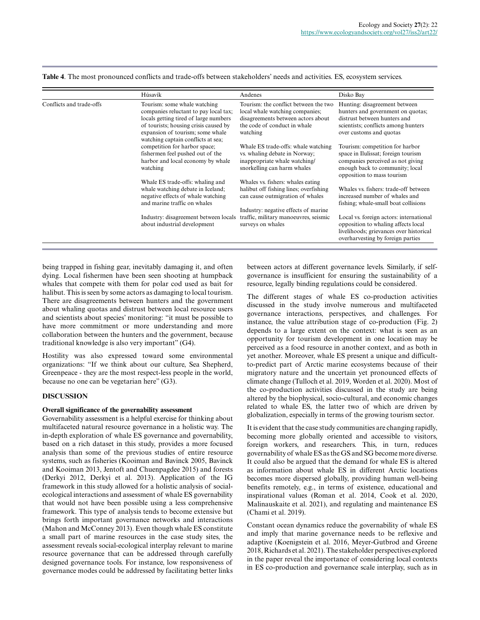**Table 4**. The most pronounced conflicts and trade-offs between stakeholders' needs and activities. ES, ecosystem services.

|                          | Húsavík                                                                                                                                                                                                                           | Andenes                                                                                                                                                    | Disko Bay                                                                                                                                                                    |
|--------------------------|-----------------------------------------------------------------------------------------------------------------------------------------------------------------------------------------------------------------------------------|------------------------------------------------------------------------------------------------------------------------------------------------------------|------------------------------------------------------------------------------------------------------------------------------------------------------------------------------|
| Conflicts and trade-offs | Tourism: some whale watching<br>companies reluctant to pay local tax;<br>locals getting tired of large numbers<br>of tourists; housing crisis caused by<br>expansion of tourism; some whale<br>watching captain conflicts at sea; | Tourism: the conflict between the two<br>local whale watching companies;<br>disagreements between actors about<br>the code of conduct in whale<br>watching | Hunting: disagreement between<br>hunters and government on quotas;<br>distrust between hunters and<br>scientists; conflicts among hunters<br>over customs and quotas         |
|                          | competition for harbor space;<br>fishermen feel pushed out of the<br>harbor and local economy by whale<br>watching                                                                                                                | Whale ES trade-offs: whale watching<br>vs. whaling debate in Norway;<br>inappropriate whale watching/<br>snorkelling can harm whales                       | Tourism: competition for harbor<br>space in Ilulissat; foreign tourism<br>companies perceived as not giving<br>enough back to community; local<br>opposition to mass tourism |
|                          | Whale ES trade-offs: whaling and<br>whale watching debate in Iceland;<br>negative effects of whale watching<br>and marine traffic on whales                                                                                       | Whales vs. fishers: whales eating<br>halibut off fishing lines; overfishing<br>can cause outmigration of whales<br>Industry: negative effects of marine    | Whales vs. fishers: trade-off between<br>increased number of whales and<br>fishing; whale-small boat collisions                                                              |
|                          | Industry: disagreement between locals<br>about industrial development                                                                                                                                                             | traffic, military manoeuvres, seismic<br>surveys on whales                                                                                                 | Local vs. foreign actors: international<br>opposition to whaling affects local<br>livelihoods; grievances over historical<br>overharvesting by foreign parties               |

being trapped in fishing gear, inevitably damaging it, and often dying. Local fishermen have been seen shooting at humpback whales that compete with them for polar cod used as bait for halibut. This is seen by some actors as damaging to local tourism. There are disagreements between hunters and the government about whaling quotas and distrust between local resource users and scientists about species' monitoring: "it must be possible to have more commitment or more understanding and more collaboration between the hunters and the government, because traditional knowledge is also very important" (G4).

Hostility was also expressed toward some environmental organizations: "If we think about our culture, Sea Shepherd, Greenpeace - they are the most respect-less people in the world, because no one can be vegetarian here" (G3).

#### **DISCUSSION**

#### **Overall significance of the governability assessment**

Governability assessment is a helpful exercise for thinking about multifaceted natural resource governance in a holistic way. The in-depth exploration of whale ES governance and governability, based on a rich dataset in this study, provides a more focused analysis than some of the previous studies of entire resource systems, such as fisheries (Kooiman and Bavinck 2005, Bavinck and Kooiman 2013, Jentoft and Chuenpagdee 2015) and forests (Derkyi 2012, Derkyi et al. 2013). Application of the IG framework in this study allowed for a holistic analysis of socialecological interactions and assessment of whale ES governability that would not have been possible using a less comprehensive framework. This type of analysis tends to become extensive but brings forth important governance networks and interactions (Mahon and McConney 2013). Even though whale ES constitute a small part of marine resources in the case study sites, the assessment reveals social-ecological interplay relevant to marine resource governance that can be addressed through carefully designed governance tools. For instance, low responsiveness of governance modes could be addressed by facilitating better links

between actors at different governance levels. Similarly, if selfgovernance is insufficient for ensuring the sustainability of a resource, legally binding regulations could be considered.

The different stages of whale ES co-production activities discussed in the study involve numerous and multifaceted governance interactions, perspectives, and challenges. For instance, the value attribution stage of co-production (Fig. 2) depends to a large extent on the context: what is seen as an opportunity for tourism development in one location may be perceived as a food resource in another context, and as both in yet another. Moreover, whale ES present a unique and difficultto-predict part of Arctic marine ecosystems because of their migratory nature and the uncertain yet pronounced effects of climate change (Tulloch et al. 2019, Worden et al. 2020). Most of the co-production activities discussed in the study are being altered by the biophysical, socio-cultural, and economic changes related to whale ES, the latter two of which are driven by globalization, especially in terms of the growing tourism sector.

It is evident that the case study communities are changing rapidly, becoming more globally oriented and accessible to visitors, foreign workers, and researchers. This, in turn, reduces governability of whale ES as the GS and SG become more diverse. It could also be argued that the demand for whale ES is altered as information about whale ES in different Arctic locations becomes more dispersed globally, providing human well-being benefits remotely, e.g., in terms of existence, educational and inspirational values (Roman et al. 2014, Cook et al. 2020, Malinauskaite et al. 2021), and regulating and maintenance ES (Chami et al. 2019).

Constant ocean dynamics reduce the governability of whale ES and imply that marine governance needs to be reflexive and adaptive (Koenigstein et al. 2016, Meyer-Gutbrod and Greene 2018, Richards et al. 2021). The stakeholder perspectives explored in the paper reveal the importance of considering local contexts in ES co-production and governance scale interplay, such as in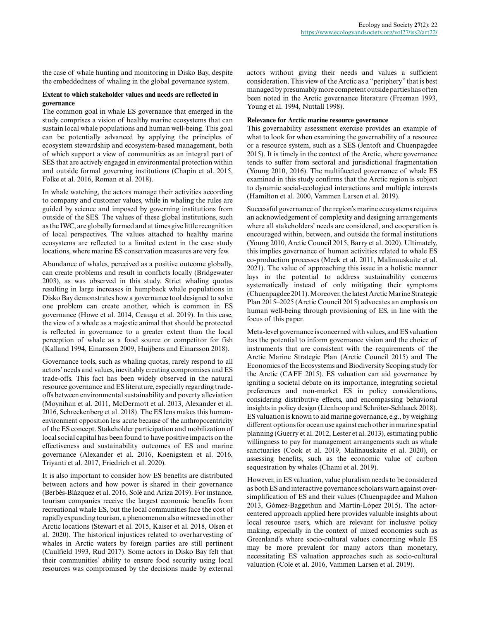the case of whale hunting and monitoring in Disko Bay, despite the embeddedness of whaling in the global governance system.

#### **Extent to which stakeholder values and needs are reflected in governance**

The common goal in whale ES governance that emerged in the study comprises a vision of healthy marine ecosystems that can sustain local whale populations and human well-being. This goal can be potentially advanced by applying the principles of ecosystem stewardship and ecosystem-based management, both of which support a view of communities as an integral part of SES that are actively engaged in environmental protection within and outside formal governing institutions (Chapin et al. 2015, Folke et al. 2016, Roman et al. 2018).

In whale watching, the actors manage their activities according to company and customer values, while in whaling the rules are guided by science and imposed by governing institutions from outside of the SES. The values of these global institutions, such as the IWC, are globally formed and at times give little recognition of local perspectives. The values attached to healthy marine ecosystems are reflected to a limited extent in the case study locations, where marine ES conservation measures are very few.

Abundance of whales, perceived as a positive outcome globally, can create problems and result in conflicts locally (Bridgewater 2003), as was observed in this study. Strict whaling quotas resulting in large increases in humpback whale populations in Disko Bay demonstrates how a governance tool designed to solve one problem can create another, which is common in ES governance (Howe et al. 2014, Ceauşu et al. 2019). In this case, the view of a whale as a majestic animal that should be protected is reflected in governance to a greater extent than the local perception of whale as a food source or competitor for fish (Kalland 1994, Einarsson 2009, Huijbens and Einarsson 2018).

Governance tools, such as whaling quotas, rarely respond to all actors' needs and values, inevitably creating compromises and ES trade-offs. This fact has been widely observed in the natural resource governance and ES literature, especially regarding tradeoffs between environmental sustainability and poverty alleviation (Moynihan et al. 2011, McDermott et al. 2013, Alexander et al. 2016, Schreckenberg et al. 2018). The ES lens makes this humanenvironment opposition less acute because of the anthropocentricity of the ES concept. Stakeholder participation and mobilization of local social capital has been found to have positive impacts on the effectiveness and sustainability outcomes of ES and marine governance (Alexander et al. 2016, Koenigstein et al. 2016, Triyanti et al. 2017, Friedrich et al. 2020).

It is also important to consider how ES benefits are distributed between actors and how power is shared in their governance (Berbés-Blázquez et al. 2016, Solé and Ariza 2019). For instance, tourism companies receive the largest economic benefits from recreational whale ES, but the local communities face the cost of rapidly expanding tourism, a phenomenon also witnessed in other Arctic locations (Stewart et al. 2015, Kaiser et al. 2018, Olsen et al. 2020). The historical injustices related to overharvesting of whales in Arctic waters by foreign parties are still pertinent (Caulfield 1993, Rud 2017). Some actors in Disko Bay felt that their communities' ability to ensure food security using local resources was compromised by the decisions made by external

actors without giving their needs and values a sufficient consideration. This view of the Arctic as a "periphery" that is best managed by presumably more competent outside parties has often been noted in the Arctic governance literature (Freeman 1993, Young et al. 1994, Nuttall 1998).

## **Relevance for Arctic marine resource governance**

This governability assessment exercise provides an example of what to look for when examining the governability of a resource or a resource system, such as a SES (Jentoft and Chuenpagdee 2015). It is timely in the context of the Arctic, where governance tends to suffer from sectoral and jurisdictional fragmentation (Young 2010, 2016). The multifaceted governance of whale ES examined in this study confirms that the Arctic region is subject to dynamic social-ecological interactions and multiple interests (Hamilton et al. 2000, Vammen Larsen et al. 2019).

Successful governance of the region's marine ecosystems requires an acknowledgement of complexity and designing arrangements where all stakeholders' needs are considered, and cooperation is encouraged within, between, and outside the formal institutions (Young 2010, Arctic Council 2015, Barry et al. 2020). Ultimately, this implies governance of human activities related to whale ES co-production processes (Meek et al. 2011, Malinauskaite et al. 2021). The value of approaching this issue in a holistic manner lays in the potential to address sustainability concerns systematically instead of only mitigating their symptoms (Chuenpagdee 2011). Moreover, the latest Arctic Marine Strategic Plan 2015–2025 (Arctic Council 2015) advocates an emphasis on human well-being through provisioning of ES, in line with the focus of this paper.

Meta-level governance is concerned with values, and ES valuation has the potential to inform governance vision and the choice of instruments that are consistent with the requirements of the Arctic Marine Strategic Plan (Arctic Council 2015) and The Economics of the Ecosystems and Biodiversity Scoping study for the Arctic (CAFF 2015). ES valuation can aid governance by igniting a societal debate on its importance, integrating societal preferences and non-market ES in policy considerations, considering distributive effects, and encompassing behavioral insights in policy design (Lienhoop and Schröter-Schlaack 2018). ES valuation is known to aid marine governance, e.g., by weighing different options for ocean use against each other in marine spatial planning (Guerry et al. 2012, Lester et al. 2013), estimating public willingness to pay for management arrangements such as whale sanctuaries (Cook et al. 2019, Malinauskaite et al. 2020), or assessing benefits, such as the economic value of carbon sequestration by whales (Chami et al. 2019).

However, in ES valuation, value pluralism needs to be considered as both ES and interactive governance scholars warn against oversimplification of ES and their values (Chuenpagdee and Mahon 2013, Gómez-Baggethun and Martín-López 2015). The actorcentered approach applied here provides valuable insights about local resource users, which are relevant for inclusive policy making, especially in the context of mixed economies such as Greenland's where socio-cultural values concerning whale ES may be more prevalent for many actors than monetary, necessitating ES valuation approaches such as socio-cultural valuation (Cole et al. 2016, Vammen Larsen et al. 2019).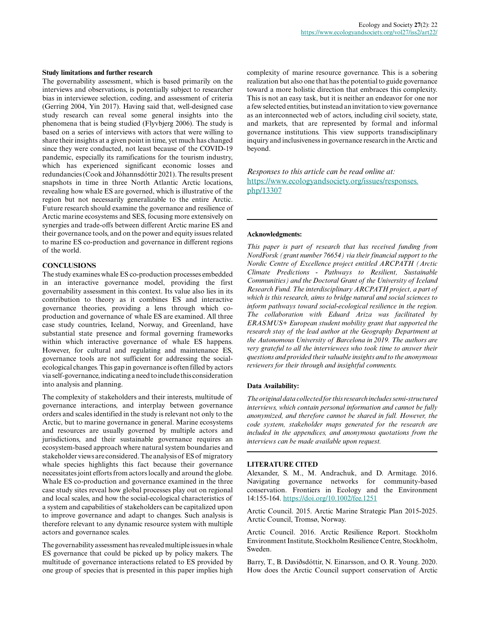#### **Study limitations and further research**

The governability assessment, which is based primarily on the interviews and observations, is potentially subject to researcher bias in interviewee selection, coding, and assessment of criteria (Gerring 2004, Yin 2017). Having said that, well-designed case study research can reveal some general insights into the phenomena that is being studied (Flyvbjerg 2006). The study is based on a series of interviews with actors that were willing to share their insights at a given point in time, yet much has changed since they were conducted, not least because of the COVID-19 pandemic, especially its ramifications for the tourism industry, which has experienced significant economic losses and redundancies (Cook and Jóhannsdóttir 2021). The results present snapshots in time in three North Atlantic Arctic locations, revealing how whale ES are governed, which is illustrative of the region but not necessarily generalizable to the entire Arctic. Future research should examine the governance and resilience of Arctic marine ecosystems and SES, focusing more extensively on synergies and trade-offs between different Arctic marine ES and their governance tools, and on the power and equity issues related to marine ES co-production and governance in different regions of the world.

#### **CONCLUSIONS**

The study examines whale ES co-production processes embedded in an interactive governance model, providing the first governability assessment in this context. Its value also lies in its contribution to theory as it combines ES and interactive governance theories, providing a lens through which coproduction and governance of whale ES are examined. All three case study countries, Iceland, Norway, and Greenland, have substantial state presence and formal governing frameworks within which interactive governance of whale ES happens. However, for cultural and regulating and maintenance ES, governance tools are not sufficient for addressing the socialecological changes. This gap in governance is often filled by actors via self-governance, indicating a need to include this consideration into analysis and planning.

The complexity of stakeholders and their interests, multitude of governance interactions, and interplay between governance orders and scales identified in the study is relevant not only to the Arctic, but to marine governance in general. Marine ecosystems and resources are usually governed by multiple actors and jurisdictions, and their sustainable governance requires an ecosystem-based approach where natural system boundaries and stakeholder views are considered. The analysis of ES of migratory whale species highlights this fact because their governance necessitates joint efforts from actors locally and around the globe. Whale ES co-production and governance examined in the three case study sites reveal how global processes play out on regional and local scales, and how the social-ecological characteristics of a system and capabilities of stakeholders can be capitalized upon to improve governance and adapt to changes. Such analysis is therefore relevant to any dynamic resource system with multiple actors and governance scales.

The governability assessment has revealed multiple issues in whale ES governance that could be picked up by policy makers. The multitude of governance interactions related to ES provided by one group of species that is presented in this paper implies high complexity of marine resource governance. This is a sobering realization but also one that has the potential to guide governance toward a more holistic direction that embraces this complexity. This is not an easy task, but it is neither an endeavor for one nor a few selected entities, but instead an invitation to view governance as an interconnected web of actors, including civil society, state, and markets, that are represented by formal and informal governance institutions. This view supports transdisciplinary inquiry and inclusiveness in governance research in the Arctic and beyond.

*Responses to this article can be read online at:* [https://www.ecologyandsociety.org/issues/responses.](https://www.ecologyandsociety.org/issues/responses.php/13307) [php/13307](https://www.ecologyandsociety.org/issues/responses.php/13307)

## **Acknowledgments:**

*This paper is part of research that has received funding from NordForsk (grant number 76654) via their financial support to the Nordic Centre of Excellence project entitled ARCPATH (Arctic Climate Predictions - Pathways to Resilient, Sustainable Communities) and the Doctoral Grant of the University of Iceland Research Fund. The interdisciplinary ARCPATH project, a part of which is this research, aims to bridge natural and social sciences to inform pathways toward social-ecological resilience in the region. The collaboration with Eduard Ariza was facilitated by ERASMUS+ European student mobility grant that supported the research stay of the lead author at the Geography Department at the Autonomous University of Barcelona in 2019. The authors are very grateful to all the interviewees who took time to answer their questions and provided their valuable insights and to the anonymous reviewers for their through and insightful comments.*

#### **Data Availability:**

*The original data collected for this research includes semi-structured interviews, which contain personal information and cannot be fully anonymized, and therefore cannot be shared in full. However, the code system, stakeholder maps generated for the research are included in the appendices, and anonymous quotations from the interviews can be made available upon request.*

#### **LITERATURE CITED**

Alexander, S. M., M. Andrachuk, and D. Armitage. 2016. Navigating governance networks for community-based conservation. Frontiers in Ecology and the Environment 14:155-164.<https://doi.org/10.1002/fee.1251>

Arctic Council. 2015. Arctic Marine Strategic Plan 2015-2025. Arctic Council, Tromsø, Norway.

Arctic Council. 2016. Arctic Resilience Report. Stockholm Environment Institute, Stockholm Resilience Centre, Stockholm, Sweden.

Barry, T., B. Daviðsdóttir, N. Einarsson, and O. R. Young. 2020. How does the Arctic Council support conservation of Arctic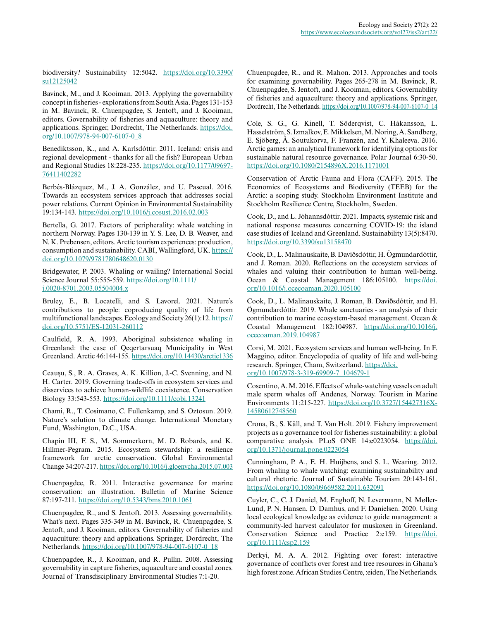biodiversity? Sustainability 12:5042. [https://doi.org/10.3390/](https://doi.org/10.3390/su12125042) [su12125042](https://doi.org/10.3390/su12125042)

Bavinck, M., and J. Kooiman. 2013. Applying the governability concept in fisheries - explorations from South Asia. Pages 131-153 in M. Bavinck, R. Chuenpagdee, S. Jentoft, and J. Kooiman, editors. Governability of fisheries and aquaculture: theory and applications. Springer, Dordrecht, The Netherlands. [https://doi.](https://doi.org/10.1007/978-94-007-6107-0_8) [org/10.1007/978-94-007-6107-0\\_8](https://doi.org/10.1007/978-94-007-6107-0_8) 

Benediktsson, K., and A. Karlsdóttir. 2011. Iceland: crisis and regional development - thanks for all the fish? European Urban and Regional Studies 18:228-235. [https://doi.org/10.1177/09697](https://doi.org/10.1177/0969776411402282) [76411402282](https://doi.org/10.1177/0969776411402282) 

Berbés-Blázquez, M., J. A. González, and U. Pascual. 2016. Towards an ecosystem services approach that addresses social power relations. Current Opinion in Environmental Sustainability 19:134-143.<https://doi.org/10.1016/j.cosust.2016.02.003>

Bertella, G. 2017. Factors of peripherality: whale watching in northern Norway. Pages 130-139 in Y. S. Lee, D. B. Weaver, and N. K. Prebensen, editors. Arctic tourism experiences: production, consumption and sustainability. CABI, Wallingford, UK. [https://](https://doi.org/10.1079/9781780648620.0130) [doi.org/10.1079/9781780648620.0130](https://doi.org/10.1079/9781780648620.0130) 

Bridgewater, P. 2003. Whaling or wailing? International Social Science Journal 55:555-559. [https://doi.org/10.1111/](https://doi.org/10.1111/j.0020-8701.2003.05504004.x) [j.0020-8701.2003.05504004.x](https://doi.org/10.1111/j.0020-8701.2003.05504004.x) 

Bruley, E., B. Locatelli, and S. Lavorel. 2021. Nature's contributions to people: coproducing quality of life from multifunctional landscapes. Ecology and Society 26(1):12. [https://](https://doi.org/10.5751/ES-12031-260112) [doi.org/10.5751/ES-12031-260112](https://doi.org/10.5751/ES-12031-260112)

Caulfield, R. A. 1993. Aboriginal subsistence whaling in Greenland: the case of Qeqertarsuaq Municipality in West Greenland. Arctic 46:144-155.<https://doi.org/10.14430/arctic1336>

Ceauşu, S., R. A. Graves, A. K. Killion, J.-C. Svenning, and N. H. Carter. 2019. Governing trade-offs in ecosystem services and disservices to achieve human-wildlife coexistence. Conservation Biology 33:543-553.<https://doi.org/10.1111/cobi.13241>

Chami, R., T. Cosimano, C. Fullenkamp, and S. Oztosun. 2019. Nature's solution to climate change. International Monetary Fund, Washington, D.C., USA.

Chapin III, F. S., M. Sommerkorn, M. D. Robards, and K. Hillmer-Pegram. 2015. Ecosystem stewardship: a resilience framework for arctic conservation. Global Environmental Change 34:207-217.<https://doi.org/10.1016/j.gloenvcha.2015.07.003>

Chuenpagdee, R. 2011. Interactive governance for marine conservation: an illustration. Bulletin of Marine Science 87:197-211.<https://doi.org/10.5343/bms.2010.1061>

Chuenpagdee, R., and S. Jentoft. 2013. Assessing governability. What's next. Pages 335-349 in M. Bavinck, R. Chuenpagdee, S. Jentoft, and J. Kooiman, editors. Governability of fisheries and aquaculture: theory and applications. Springer, Dordrecht, The Netherlands. [https://doi.org/10.1007/978-94-007-6107-0\\_18](https://doi.org/10.1007/978-94-007-6107-0_18) 

Chuenpagdee, R., J. Kooiman, and R. Pullin. 2008. Assessing governability in capture fisheries, aquaculture and coastal zones. Journal of Transdisciplinary Environmental Studies 7:1-20.

Chuenpagdee, R., and R. Mahon. 2013. Approaches and tools for examining governability. Pages 265-278 in M. Bavinck, R. Chuenpagdee, S. Jentoft, and J. Kooiman, editors. Governability of fisheries and aquaculture: theory and applications. Springer, Dordrecht, The Netherlands. [https://doi.org/10.1007/978-94-007-6107-0\\_14](https://doi.org/10.1007/978-94-007-6107-0_14)

Cole, S. G., G. Kinell, T. Söderqvist, C. Håkansson, L. Hasselström, S. Izmalkov, E. Mikkelsen, M. Noring, A. Sandberg, E. Sjöberg, Å. Soutukorva, F. Franzén, and Y. Khaleeva. 2016. Arctic games: an analytical framework for identifying options for sustainable natural resource governance. Polar Journal 6:30-50. <https://doi.org/10.1080/2154896X.2016.1171001>

Conservation of Arctic Fauna and Flora (CAFF). 2015. The Economics of Ecosystems and Biodiversity (TEEB) for the Arctic: a scoping study. Stockholm Environment Institute and Stockholm Resilience Centre, Stockholm, Sweden.

Cook, D., and L. Jóhannsdóttir. 2021. Impacts, systemic risk and national response measures concerning COVID-19: the island case studies of Iceland and Greenland. Sustainability 13(5):8470. <https://doi.org/10.3390/su13158470>

Cook, D., L. Malinauskaite, B. Davíðsdóttir, H. Ögmundardóttir, and J. Roman. 2020. Reflections on the ecosystem services of whales and valuing their contribution to human well-being. Ocean & Coastal Management 186:105100. [https://doi.](https://doi.org/10.1016/j.ocecoaman.2020.105100) [org/10.1016/j.ocecoaman.2020.105100](https://doi.org/10.1016/j.ocecoaman.2020.105100)

Cook, D., L. Malinauskaite, J. Roman, B. Davíðsdóttir, and H. Ögmundardóttir. 2019. Whale sanctuaries - an analysis of their contribution to marine ecosystem-based management. Ocean & Coastal Management 182:104987. [https://doi.org/10.1016/j.](https://doi.org/10.1016/j.ocecoaman.2019.104987) [ocecoaman.2019.104987](https://doi.org/10.1016/j.ocecoaman.2019.104987)

Corsi, M. 2021. Ecosystem services and human well-being. In F. Maggino, editor. Encyclopedia of quality of life and well-being research. Springer, Cham, Switzerland. [https://doi.](https://doi.org/10.1007/978-3-319-69909-7_104679-1) [org/10.1007/978-3-319-69909-7\\_104679-1](https://doi.org/10.1007/978-3-319-69909-7_104679-1) 

Cosentino, A. M. 2016. Effects of whale-watching vessels on adult male sperm whales off Andenes, Norway. Tourism in Marine Environments 11:215-227. [https://doi.org/10.3727/154427316X-](https://doi.org/10.3727/154427316X14580612748560)[14580612748560](https://doi.org/10.3727/154427316X14580612748560)

Crona, B., S. Käll, and T. Van Holt. 2019. Fishery improvement projects as a governance tool for fisheries sustainability: a global comparative analysis. PLoS ONE 14:e0223054. [https://doi.](https://doi.org/10.1371/journal.pone.0223054) [org/10.1371/journal.pone.0223054](https://doi.org/10.1371/journal.pone.0223054) 

Cunningham, P. A., E. H. Huijbens, and S. L. Wearing. 2012. From whaling to whale watching: examining sustainability and cultural rhetoric. Journal of Sustainable Tourism 20:143-161. <https://doi.org/10.1080/09669582.2011.632091>

Cuyler, C., C. J. Daniel, M. Enghoff, N. Levermann, N. Møller-Lund, P. N. Hansen, D. Damhus, and F. Danielsen. 2020. Using local ecological knowledge as evidence to guide management: a community-led harvest calculator for muskoxen in Greenland. Conservation Science and Practice 2:e159. [https://doi.](https://doi.org/10.1111/csp2.159) [org/10.1111/csp2.159](https://doi.org/10.1111/csp2.159)

Derkyi, M. A. A. 2012. Fighting over forest: interactive governance of conflicts over forest and tree resources in Ghana's high forest zone. African Studies Centre, :eiden, The Netherlands.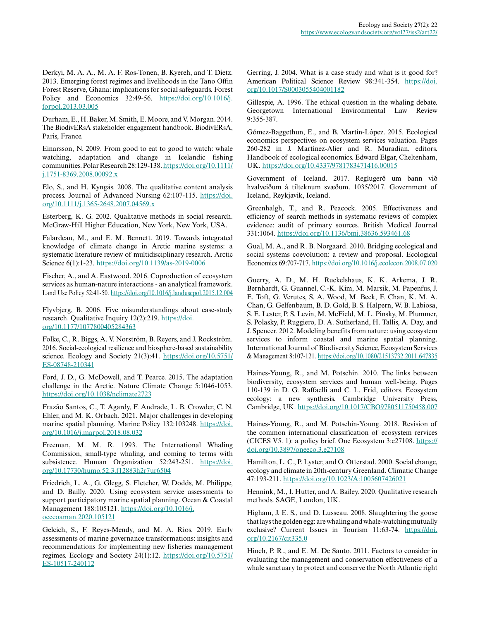Derkyi, M. A. A., M. A. F. Ros-Tonen, B. Kyereh, and T. Dietz. 2013. Emerging forest regimes and livelihoods in the Tano Offin Forest Reserve, Ghana: implications for social safeguards. Forest Policy and Economics 32:49-56. [https://doi.org/10.1016/j.](https://doi.org/10.1016/j.forpol.2013.03.005) [forpol.2013.03.005](https://doi.org/10.1016/j.forpol.2013.03.005)

Durham, E., H. Baker, M. Smith, E. Moore, and V. Morgan. 2014. The BiodivERsA stakeholder engagement handbook. BiodivERsA, Paris, France.

Einarsson, N. 2009. From good to eat to good to watch: whale watching, adaptation and change in Icelandic fishing communities. Polar Research 28:129-138. [https://doi.org/10.1111/](https://doi.org/10.1111/j.1751-8369.2008.00092.x) [j.1751-8369.2008.00092.x](https://doi.org/10.1111/j.1751-8369.2008.00092.x)

Elo, S., and H. Kyngäs. 2008. The qualitative content analysis process. Journal of Advanced Nursing 62:107-115. [https://doi.](https://doi.org/10.1111/j.1365-2648.2007.04569.x) [org/10.1111/j.1365-2648.2007.04569.x](https://doi.org/10.1111/j.1365-2648.2007.04569.x)

Esterberg, K. G. 2002. Qualitative methods in social research. McGraw-Hill Higher Education, New York, New York, USA.

Falardeau, M., and E. M. Bennett. 2019. Towards integrated knowledge of climate change in Arctic marine systems: a systematic literature review of multidisciplinary research. Arctic Science 6(1):1-23. https://doi.org/10.1139/as-2019-0006

Fischer, A., and A. Eastwood. 2016. Coproduction of ecosystem services as human-nature interactions - an analytical framework. Land Use Policy 52:41-50.<https://doi.org/10.1016/j.landusepol.2015.12.004>

Flyvbjerg, B. 2006. Five misunderstandings about case-study research. Qualitative Inquiry 12(2):219. [https://doi.](https://doi.org/10.1177/1077800405284363) [org/10.1177/1077800405284363](https://doi.org/10.1177/1077800405284363)

Folke, C., R. Biggs, A. V. Norström, B. Reyers, and J. Rockström. 2016. Social-ecological resilience and biosphere-based sustainability science. Ecology and Society 21(3):41. [https://doi.org/10.5751/](https://doi.org/10.5751/ES-08748-210341) [ES-08748-210341](https://doi.org/10.5751/ES-08748-210341)

Ford, J. D., G. McDowell, and T. Pearce. 2015. The adaptation challenge in the Arctic. Nature Climate Change 5:1046-1053. <https://doi.org/10.1038/nclimate2723>

Frazão Santos, C., T. Agardy, F. Andrade, L. B. Crowder, C. N. Ehler, and M. K. Orbach. 2021. Major challenges in developing marine spatial planning. Marine Policy 132:103248. [https://doi.](https://doi.org/10.1016/j.marpol.2018.08.032) [org/10.1016/j.marpol.2018.08.032](https://doi.org/10.1016/j.marpol.2018.08.032) 

Freeman, M. M. R. 1993. The International Whaling Commission, small-type whaling, and coming to terms with subsistence. Human Organization 52:243-251. [https://doi.](https://doi.org/10.17730/humo.52.3.f12883h2r7ur6504) [org/10.17730/humo.52.3.f12883h2r7ur6504](https://doi.org/10.17730/humo.52.3.f12883h2r7ur6504) 

Friedrich, L. A., G. Glegg, S. Fletcher, W. Dodds, M. Philippe, and D. Bailly. 2020. Using ecosystem service assessments to support participatory marine spatial planning. Ocean & Coastal Management 188:105121. [https://doi.org/10.1016/j.](https://doi.org/10.1016/j.ocecoaman.2020.105121) [ocecoaman.2020.105121](https://doi.org/10.1016/j.ocecoaman.2020.105121)

Gelcich, S., F. Reyes-Mendy, and M. A. Rios. 2019. Early assessments of marine governance transformations: insights and recommendations for implementing new fisheries management regimes. Ecology and Society 24(1):12. [https://doi.org/10.5751/](https://doi.org/10.5751/ES-10517-240112) [ES-10517-240112](https://doi.org/10.5751/ES-10517-240112)

Gerring, J. 2004. What is a case study and what is it good for? American Political Science Review 98:341-354. [https://doi.](https://doi.org/10.1017/S0003055404001182) [org/10.1017/S0003055404001182](https://doi.org/10.1017/S0003055404001182)

Gillespie, A. 1996. The ethical question in the whaling debate. Georgetown International Environmental Law Review 9:355-387.

Gómez-Baggethun, E., and B. Martín-López. 2015. Ecological economics perspectives on ecosystem services valuation. Pages 260-282 in J. Martínez-Alier and R. Muradian, editors. Handbook of ecological economics. Edward Elgar, Cheltenham, UK. <https://doi.org/10.4337/9781783471416.00015>

Government of Iceland. 2017. Reglugerð um bann við hvalveiðum á tilteknum svæðum. 1035/2017. Government of Iceland, Reykjavik, Iceland.

Greenhalgh, T., and R. Peacock. 2005. Effectiveness and efficiency of search methods in systematic reviews of complex evidence: audit of primary sources. British Medical Journal 331:1064. <https://doi.org/10.1136/bmj.38636.593461.68>

Gual, M. A., and R. B. Norgaard. 2010. Bridging ecological and social systems coevolution: a review and proposal. Ecological Economics 69:707-717. <https://doi.org/10.1016/j.ecolecon.2008.07.020>

Guerry, A. D., M. H. Ruckelshaus, K. K. Arkema, J. R. Bernhardt, G. Guannel, C.-K. Kim, M. Marsik, M. Papenfus, J. E. Toft, G. Verutes, S. A. Wood, M. Beck, F. Chan, K. M. A. Chan, G. Gelfenbaum, B. D. Gold, B. S. Halpern, W. B. Labiosa, S. E. Lester, P. S. Levin, M. McField, M. L. Pinsky, M. Plummer, S. Polasky, P. Ruggiero, D. A. Sutherland, H. Tallis, A. Day, and J. Spencer. 2012. Modeling benefits from nature: using ecosystem services to inform coastal and marine spatial planning. International Journal of Biodiversity Science, Ecosystem Services & Management 8:107-121.<https://doi.org/10.1080/21513732.2011.647835>

Haines-Young, R., and M. Potschin. 2010. The links between biodiversity, ecosystem services and human well-being. Pages 110-139 in D. G. Raffaelli and C. L. Frid, editors. Ecosystem ecology: a new synthesis. Cambridge University Press, Cambridge, UK. <https://doi.org/10.1017/CBO9780511750458.007>

Haines-Young, R., and M. Potschin-Young. 2018. Revision of the common international classification of ecosystem rervices (CICES V5. 1): a policy brief. One Ecosystem 3:e27108. [https://](https://doi.org/10.3897/oneeco.3.e27108) [doi.org/10.3897/oneeco.3.e27108](https://doi.org/10.3897/oneeco.3.e27108)

Hamilton, L. C., P. Lyster, and O. Otterstad. 2000. Social change, ecology and climate in 20th-century Greenland. Climatic Change 47:193-211.<https://doi.org/10.1023/A:1005607426021>

Hennink, M., I. Hutter, and A. Bailey. 2020. Qualitative research methods. SAGE, London, UK.

Higham, J. E. S., and D. Lusseau. 2008. Slaughtering the goose that lays the golden egg: are whaling and whale-watching mutually exclusive? Current Issues in Tourism 11:63-74. [https://doi.](https://doi.org/10.2167/cit335.0) [org/10.2167/cit335.0](https://doi.org/10.2167/cit335.0)

Hinch, P. R., and E. M. De Santo. 2011. Factors to consider in evaluating the management and conservation effectiveness of a whale sanctuary to protect and conserve the North Atlantic right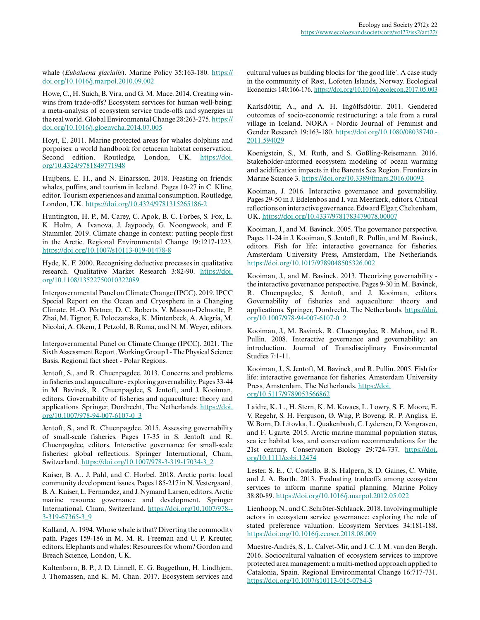whale (*Eubalaena glacialis*). Marine Policy 35:163-180. [https://](https://doi.org/10.1016/j.marpol.2010.09.002) [doi.org/10.1016/j.marpol.2010.09.002](https://doi.org/10.1016/j.marpol.2010.09.002)

Howe, C., H. Suich, B. Vira, and G. M. Mace. 2014. Creating winwins from trade-offs? Ecosystem services for human well-being: a meta-analysis of ecosystem service trade-offs and synergies in the real world. Global Environmental Change 28:263-275. [https://](https://doi.org/10.1016/j.gloenvcha.2014.07.005) [doi.org/10.1016/j.gloenvcha.2014.07.005](https://doi.org/10.1016/j.gloenvcha.2014.07.005) 

Hoyt, E. 2011. Marine protected areas for whales dolphins and porpoises: a world handbook for cetacean habitat conservation. Second edition. Routledge, London, UK. [https://doi.](https://doi.org/10.4324/9781849771948) [org/10.4324/9781849771948](https://doi.org/10.4324/9781849771948) 

Huijbens, E. H., and N. Einarsson. 2018. Feasting on friends: whales, puffins, and tourism in Iceland. Pages 10-27 in C. Kline, editor. Tourism experiences and animal consumption. Routledge, London, UK.<https://doi.org/10.4324/9781315265186-2>

Huntington, H. P., M. Carey, C. Apok, B. C. Forbes, S. Fox, L. K. Holm, A. Ivanova, J. Jaypoody, G. Noongwook, and F. Stammler. 2019. Climate change in context: putting people first in the Arctic. Regional Environmental Change 19:1217-1223. <https://doi.org/10.1007/s10113-019-01478-8>

Hyde, K. F. 2000. Recognising deductive processes in qualitative research. Qualitative Market Research 3:82-90. [https://doi.](https://doi.org/10.1108/13522750010322089) [org/10.1108/13522750010322089](https://doi.org/10.1108/13522750010322089) 

Intergovernmental Panel on Climate Change (IPCC). 2019. IPCC Special Report on the Ocean and Cryosphere in a Changing Climate. H.-O. Pörtner, D. C. Roberts, V. Masson-Delmotte, P. Zhai, M. Tignor, E. Poloczanska, K. Mintenbeck, A. Alegría, M. Nicolai, A. Okem, J. Petzold, B. Rama, and N. M. Weyer, editors.

Intergovernmental Panel on Climate Change (IPCC). 2021. The Sixth Assessment Report. Working Group I - The Physical Science Basis. Regional fact sheet - Polar Regions.

Jentoft, S., and R. Chuenpagdee. 2013. Concerns and problems in fisheries and aquaculture - exploring governability. Pages 33-44 in M. Bavinck, R. Chuenpagdee, S. Jentoft, and J. Kooiman, editors. Governability of fisheries and aquaculture: theory and applications. Springer, Dordrecht, The Netherlands. [https://doi.](https://doi.org/10.1007/978-94-007-6107-0_3) [org/10.1007/978-94-007-6107-0\\_3](https://doi.org/10.1007/978-94-007-6107-0_3) 

Jentoft, S., and R. Chuenpagdee. 2015. Assessing governability of small-scale fisheries. Pages 17-35 in S. Jentoft and R. Chuenpagdee, editors. Interactive governance for small-scale fisheries: global reflections. Springer International, Cham, Switzerland. [https://doi.org/10.1007/978-3-319-17034-3\\_2](https://doi.org/10.1007/978-3-319-17034-3_2)

Kaiser, B. A., J. Pahl, and C. Horbel. 2018. Arctic ports: local community development issues. Pages 185-217 in N. Vestergaard, B. A. Kaiser, L. Fernandez, and J. Nymand Larsen, editors. Arctic marine resource governance and development. Springer International, Cham, Switzerland. [https://doi.org/10.1007/978-](https://doi.org/10.1007/978-3-319-67365-3_9) [3-319-67365-3\\_9](https://doi.org/10.1007/978-3-319-67365-3_9) 

Kalland, A. 1994. Whose whale is that? Diverting the commodity path. Pages 159-186 in M. M. R. Freeman and U. P. Kreuter, editors. Elephants and whales: Resources for whom? Gordon and Breach Science, London, UK.

Kaltenborn, B. P., J. D. Linnell, E. G. Baggethun, H. Lindhjem, J. Thomassen, and K. M. Chan. 2017. Ecosystem services and cultural values as building blocks for 'the good life'. A case study in the community of Røst, Lofoten Islands, Norway. Ecological Economics 140:166-176. <https://doi.org/10.1016/j.ecolecon.2017.05.003>

Karlsdóttir, A., and A. H. Ingólfsdóttir. 2011. Gendered outcomes of socio-economic restructuring: a tale from a rural village in Iceland. NORA - Nordic Journal of Feminist and Gender Research 19:163-180. [https://doi.org/10.1080/08038740.](https://doi.org/10.1080/08038740.2011.594029) [2011.594029](https://doi.org/10.1080/08038740.2011.594029)

Koenigstein, S., M. Ruth, and S. Gößling-Reisemann. 2016. Stakeholder-informed ecosystem modeling of ocean warming and acidification impacts in the Barents Sea Region. Frontiers in Marine Science 3.<https://doi.org/10.3389/fmars.2016.00093>

Kooiman, J. 2016. Interactive governance and governability. Pages 29-50 in J. Edelenbos and I. van Meerkerk, editors. Critical reflections on interactive governance. Edward Elgar, Cheltenham, UK. <https://doi.org/10.4337/9781783479078.00007>

Kooiman, J., and M. Bavinck. 2005. The governance perspective. Pages 11-24 in J. Kooiman, S. Jentoft, R. Pullin, and M. Bavinck, editors. Fish for life: interactive governance for fisheries. Amsterdam University Press, Amsterdam, The Netherlands. <https://doi.org/10.1017/9789048505326.002>

Kooiman, J., and M. Bavinck. 2013. Theorizing governability the interactive governance perspective. Pages 9-30 in M. Bavinck, R. Chuenpagdee, S. Jentoft, and J. Kooiman, editors. Governability of fisheries and aquaculture: theory and applications. Springer, Dordrecht, The Netherlands. [https://doi.](https://doi.org/10.1007/978-94-007-6107-0_2) [org/10.1007/978-94-007-6107-0\\_2](https://doi.org/10.1007/978-94-007-6107-0_2) 

Kooiman, J., M. Bavinck, R. Chuenpagdee, R. Mahon, and R. Pullin. 2008. Interactive governance and governability: an introduction. Journal of Transdisciplinary Environmental Studies 7:1-11.

Kooiman, J., S. Jentoft, M. Bavinck, and R. Pullin. 2005. Fish for life: interactive governance for fisheries. Amsterdam University Press, Amsterdam, The Netherlands. [https://doi.](https://doi.org/10.5117/9789053566862) [org/10.5117/9789053566862](https://doi.org/10.5117/9789053566862) 

Laidre, K. L., H. Stern, K. M. Kovacs, L. Lowry, S. E. Moore, E. V. Regehr, S. H. Ferguson, Ø. Wiig, P. Boveng, R. P. Angliss, E. W. Born, D. Litovka, L. Quakenbush, C. Lydersen, D. Vongraven, and F. Ugarte. 2015. Arctic marine mammal population status, sea ice habitat loss, and conservation recommendations for the 21st century. Conservation Biology 29:724-737. [https://doi.](https://doi.org/10.1111/cobi.12474) [org/10.1111/cobi.12474](https://doi.org/10.1111/cobi.12474)

Lester, S. E., C. Costello, B. S. Halpern, S. D. Gaines, C. White, and J. A. Barth. 2013. Evaluating tradeoffs among ecosystem services to inform marine spatial planning. Marine Policy 38:80-89.<https://doi.org/10.1016/j.marpol.2012.05.022>

Lienhoop, N., and C. Schröter-Schlaack. 2018. Involving multiple actors in ecosystem service governance: exploring the role of stated preference valuation. Ecosystem Services 34:181-188. <https://doi.org/10.1016/j.ecoser.2018.08.009>

Maestre-Andrés, S., L. Calvet-Mir, and J. C. J. M. van den Bergh. 2016. Sociocultural valuation of ecosystem services to improve protected area management: a multi-method approach applied to Catalonia, Spain. Regional Environmental Change 16:717-731. <https://doi.org/10.1007/s10113-015-0784-3>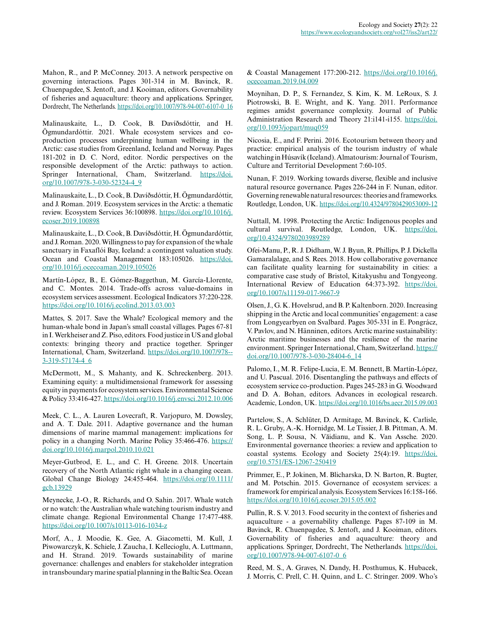Mahon, R., and P. McConney. 2013. A network perspective on governing interactions. Pages 301-314 in M. Bavinck, R. Chuenpagdee, S. Jentoft, and J. Kooiman, editors. Governability of fisheries and aquaculture: theory and applications. Springer, Dordrecht, The Netherlands. [https://doi.org/10.1007/978-94-007-6107-0\\_16](https://doi.org/10.1007/978-94-007-6107-0_16)

Malinauskaite, L., D. Cook, B. Davíðsdóttir, and H. Ögmundardóttir. 2021. Whale ecosystem services and coproduction processes underpinning human wellbeing in the Arctic: case studies from Greenland, Iceland and Norway. Pages 181-202 in D. C. Nord, editor. Nordic perspectives on the responsible development of the Arctic: pathways to action. Springer International, Cham, Switzerland. [https://doi.](https://doi.org/10.1007/978-3-030-52324-4_9) [org/10.1007/978-3-030-52324-4\\_9](https://doi.org/10.1007/978-3-030-52324-4_9) 

Malinauskaite, L., D. Cook, B. Davíðsdóttir, H. Ögmundardóttir, and J. Roman. 2019. Ecosystem services in the Arctic: a thematic review. Ecosystem Services 36:100898. [https://doi.org/10.1016/j.](https://doi.org/10.1016/j.ecoser.2019.100898) [ecoser.2019.100898](https://doi.org/10.1016/j.ecoser.2019.100898)

Malinauskaite, L., D. Cook, B. Davíðsdóttir, H. Ögmundardóttir, and J. Roman. 2020. Willingness to pay for expansion of the whale sanctuary in Faxaflói Bay, Iceland: a contingent valuation study. Ocean and Coastal Management 183:105026. [https://doi.](https://doi.org/10.1016/j.ocecoaman.2019.105026) [org/10.1016/j.ocecoaman.2019.105026](https://doi.org/10.1016/j.ocecoaman.2019.105026)

Martín-López, B., E. Gómez-Baggethun, M. García-Llorente, and C. Montes. 2014. Trade-offs across value-domains in ecosystem services assessment. Ecological Indicators 37:220-228. <https://doi.org/10.1016/j.ecolind.2013.03.003>

Mattes, S. 2017. Save the Whale? Ecological memory and the human-whale bond in Japan's small coastal villages. Pages 67-81 in I. Werkheiser and Z. Piso, editors. Food justice in US and global contexts: bringing theory and practice together. Springer International, Cham, Switzerland. [https://doi.org/10.1007/978-](https://doi.org/10.1007/978-3-319-57174-4_6) [3-319-57174-4\\_6](https://doi.org/10.1007/978-3-319-57174-4_6) 

McDermott, M., S. Mahanty, and K. Schreckenberg. 2013. Examining equity: a multidimensional framework for assessing equity in payments for ecosystem services. Environmental Science & Policy 33:416-427.<https://doi.org/10.1016/j.envsci.2012.10.006>

Meek, C. L., A. Lauren Lovecraft, R. Varjopuro, M. Dowsley, and A. T. Dale. 2011. Adaptive governance and the human dimensions of marine mammal management: implications for policy in a changing North. Marine Policy 35:466-476. [https://](https://doi.org/10.1016/j.marpol.2010.10.021) [doi.org/10.1016/j.marpol.2010.10.021](https://doi.org/10.1016/j.marpol.2010.10.021)

Meyer-Gutbrod, E. L., and C. H. Greene. 2018. Uncertain recovery of the North Atlantic right whale in a changing ocean. Global Change Biology 24:455-464. [https://doi.org/10.1111/](https://doi.org/10.1111/gcb.13929) [gcb.13929](https://doi.org/10.1111/gcb.13929) 

Meynecke, J.-O., R. Richards, and O. Sahin. 2017. Whale watch or no watch: the Australian whale watching tourism industry and climate change. Regional Environmental Change 17:477-488. <https://doi.org/10.1007/s10113-016-1034-z>

Morf, A., J. Moodie, K. Gee, A. Giacometti, M. Kull, J. Piwowarczyk, K. Schiele, J. Zaucha, I. Kellecioglu, A. Luttmann, and H. Strand. 2019. Towards sustainability of marine governance: challenges and enablers for stakeholder integration in transboundary marine spatial planning in the Baltic Sea. Ocean & Coastal Management 177:200-212. [https://doi.org/10.1016/j.](https://doi.org/10.1016/j.ocecoaman.2019.04.009) [ocecoaman.2019.04.009](https://doi.org/10.1016/j.ocecoaman.2019.04.009) 

Moynihan, D. P., S. Fernandez, S. Kim, K. M. LeRoux, S. J. Piotrowski, B. E. Wright, and K. Yang. 2011. Performance regimes amidst governance complexity. Journal of Public Administration Research and Theory 21:i141-i155. [https://doi.](https://doi.org/10.1093/jopart/muq059) [org/10.1093/jopart/muq059](https://doi.org/10.1093/jopart/muq059) 

Nicosia, E., and F. Perini. 2016. Ecotourism between theory and practice: empirical analysis of the tourism industry of whale watching in Húsavík (Iceland). Almatourism: Journal of Tourism, Culture and Territorial Development 7:60-105.

Nunan, F. 2019. Working towards diverse, flexible and inclusive natural resource governance. Pages 226-244 in F. Nunan, editor. Governing renewable natural resources: theories and frameworks. Routledge, London, UK. <https://doi.org/10.4324/9780429053009-12>

Nuttall, M. 1998. Protecting the Arctic: Indigenous peoples and cultural survival. Routledge, London, UK. [https://doi.](https://doi.org/10.4324/9780203989289) [org/10.4324/9780203989289](https://doi.org/10.4324/9780203989289) 

Ofei-Manu, P., R. J. Didham, W. J. Byun, R. Phillips, P. J. Dickella Gamaralalage, and S. Rees. 2018. How collaborative governance can facilitate quality learning for sustainability in cities: a comparative case study of Bristol, Kitakyushu and Tongyeong. International Review of Education 64:373-392. [https://doi.](https://doi.org/10.1007/s11159-017-9667-9) [org/10.1007/s11159-017-9667-9](https://doi.org/10.1007/s11159-017-9667-9)

Olsen, J., G. K. Hovelsrud, and B. P. Kaltenborn. 2020. Increasing shipping in the Arctic and local communities' engagement: a case from Longyearbyen on Svalbard. Pages 305-331 in E. Pongrácz, V. Pavlov, and N. Hänninen, editors. Arctic marine sustainability: Arctic maritime businesses and the resilience of the marine environment. Springer International, Cham, Switzerland. [https://](https://doi.org/10.1007/978-3-030-28404-6_14) [doi.org/10.1007/978-3-030-28404-6\\_14](https://doi.org/10.1007/978-3-030-28404-6_14) 

Palomo, I., M. R. Felipe-Lucia, E. M. Bennett, B. Martín-López, and U. Pascual. 2016. Disentangling the pathways and effects of ecosystem service co-production. Pages 245-283 in G. Woodward and D. A. Bohan, editors. Advances in ecological research. Academic, London, UK.<https://doi.org/10.1016/bs.aecr.2015.09.003>

Partelow, S., A. Schlüter, D. Armitage, M. Bavinck, K. Carlisle, R. L. Gruby, A.-K. Hornidge, M. Le Tissier, J. B. Pittman, A. M. Song, L. P. Sousa, N. Văidianu, and K. Van Assche. 2020. Environmental governance theories: a review and application to coastal systems. Ecology and Society 25(4):19. [https://doi.](https://doi.org/10.5751/ES-12067-250419) [org/10.5751/ES-12067-250419](https://doi.org/10.5751/ES-12067-250419) 

Primmer, E., P. Jokinen, M. Blicharska, D. N. Barton, R. Bugter, and M. Potschin. 2015. Governance of ecosystem services: a framework for empirical analysis. Ecosystem Services 16:158-166. <https://doi.org/10.1016/j.ecoser.2015.05.002>

Pullin, R. S. V. 2013. Food security in the context of fisheries and aquaculture - a governability challenge. Pages 87-109 in M. Bavinck, R. Chuenpagdee, S. Jentoft, and J. Kooiman, editors. Governability of fisheries and aquaculture: theory and applications. Springer, Dordrecht, The Netherlands. [https://doi.](https://doi.org/10.1007/978-94-007-6107-0_6) [org/10.1007/978-94-007-6107-0\\_6](https://doi.org/10.1007/978-94-007-6107-0_6) 

Reed, M. S., A. Graves, N. Dandy, H. Posthumus, K. Hubacek, J. Morris, C. Prell, C. H. Quinn, and L. C. Stringer. 2009. Who's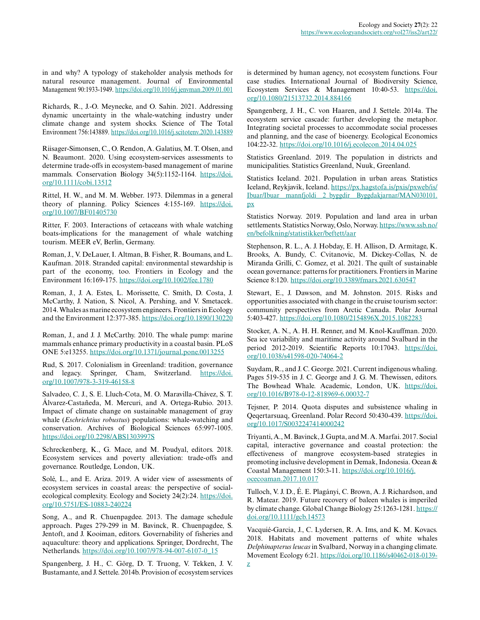in and why? A typology of stakeholder analysis methods for natural resource management. Journal of Environmental Management 90:1933-1949. <https://doi.org/10.1016/j.jenvman.2009.01.001>

Richards, R., J.-O. Meynecke, and O. Sahin. 2021. Addressing dynamic uncertainty in the whale-watching industry under climate change and system shocks. Science of The Total Environment 756:143889. <https://doi.org/10.1016/j.scitotenv.2020.143889>

Riisager-Simonsen, C., O. Rendon, A. Galatius, M. T. Olsen, and N. Beaumont. 2020. Using ecosystem-services assessments to determine trade-offs in ecosystem-based management of marine mammals. Conservation Biology 34(5):1152-1164. [https://doi.](https://doi.org/10.1111/cobi.13512) [org/10.1111/cobi.13512](https://doi.org/10.1111/cobi.13512)

Rittel, H. W., and M. M. Webber. 1973. Dilemmas in a general theory of planning. Policy Sciences 4:155-169. [https://doi.](https://doi.org/10.1007/BF01405730) [org/10.1007/BF01405730](https://doi.org/10.1007/BF01405730)

Ritter, F. 2003. Interactions of cetaceans with whale watching boats-implications for the management of whale watching tourism. MEER eV, Berlin, Germany.

Roman, J., V. DeLauer, I. Altman, B. Fisher, R. Boumans, and L. Kaufman. 2018. Stranded capital: environmental stewardship is part of the economy, too. Frontiers in Ecology and the Environment 16:169-175.<https://doi.org/10.1002/fee.1780>

Roman, J., J. A. Estes, L. Morissette, C. Smith, D. Costa, J. McCarthy, J. Nation, S. Nicol, A. Pershing, and V. Smetacek. 2014. Whales as marine ecosystem engineers. Frontiers in Ecology and the Environment 12:377-385.<https://doi.org/10.1890/130220>

Roman, J., and J. J. McCarthy. 2010. The whale pump: marine mammals enhance primary productivity in a coastal basin. PLoS ONE 5:e13255. <https://doi.org/10.1371/journal.pone.0013255>

Rud, S. 2017. Colonialism in Greenland: tradition, governance and legacy. Springer, Cham, Switzerland. [https://doi.](https://doi.org/10.1007/978-3-319-46158-8) [org/10.1007/978-3-319-46158-8](https://doi.org/10.1007/978-3-319-46158-8) 

Salvadeo, C. J., S. E. Lluch-Cota, M. O. Maravilla-Chávez, S. T. Álvarez-Castañeda, M. Mercuri, and A. Ortega-Rubio. 2013. Impact of climate change on sustainable management of gray whale (*Eschrichtius robustus*) populations: whale-watching and conservation. Archives of Biological Sciences 65:997-1005. <https://doi.org/10.2298/ABS1303997S>

Schreckenberg, K., G. Mace, and M. Poudyal, editors. 2018. Ecosystem services and poverty alleviation: trade-offs and governance. Routledge, London, UK.

Solé, L., and E. Ariza. 2019. A wider view of assessments of ecosystem services in coastal areas: the perspective of socialecological complexity. Ecology and Society 24(2):24. [https://doi.](https://doi.org/10.5751/ES-10883-240224) [org/10.5751/ES-10883-240224](https://doi.org/10.5751/ES-10883-240224) 

Song, A., and R. Chuenpagdee. 2013. The damage schedule approach. Pages 279-299 in M. Bavinck, R. Chuenpagdee, S. Jentoft, and J. Kooiman, editors. Governability of fisheries and aquaculture: theory and applications. Springer, Dordrecht, The Netherlands. [https://doi.org/10.1007/978-94-007-6107-0\\_15](https://doi.org/10.1007/978-94-007-6107-0_15) 

Spangenberg, J. H., C. Görg, D. T. Truong, V. Tekken, J. V. Bustamante, and J. Settele. 2014b. Provision of ecosystem services is determined by human agency, not ecosystem functions. Four case studies. International Journal of Biodiversity Science, Ecosystem Services & Management 10:40-53. [https://doi.](https://doi.org/10.1080/21513732.2014.884166) [org/10.1080/21513732.2014.884166](https://doi.org/10.1080/21513732.2014.884166)

Spangenberg, J. H., C. von Haaren, and J. Settele. 2014a. The ecosystem service cascade: further developing the metaphor. Integrating societal processes to accommodate social processes and planning, and the case of bioenergy. Ecological Economics 104:22-32. <https://doi.org/10.1016/j.ecolecon.2014.04.025>

Statistics Greenland. 2019. The population in districts and municipalities. Statistics Greenland, Nuuk, Greenland.

Statistics Iceland. 2021. Population in urban areas. Statistics Iceland, Reykjavik, Iceland. [https://px.hagstofa.is/pxis/pxweb/is/](https://px.hagstofa.is/pxis/pxweb/is/Ibuar/Ibuar__mannfjoldi__2_byggdir__Byggdakjarnar/MAN030101.px) [Ibuar/Ibuar\\_\\_mannfjoldi\\_\\_2\\_byggdir\\_\\_Byggdakjarnar/MAN030101.](https://px.hagstofa.is/pxis/pxweb/is/Ibuar/Ibuar__mannfjoldi__2_byggdir__Byggdakjarnar/MAN030101.px) [px](https://px.hagstofa.is/pxis/pxweb/is/Ibuar/Ibuar__mannfjoldi__2_byggdir__Byggdakjarnar/MAN030101.px)

Statistics Norway. 2019. Population and land area in urban settlements. Statistics Norway, Oslo, Norway. [https://www.ssb.no/](https://www.ssb.no/en/befolkning/statistikker/beftett/aar) [en/befolkning/statistikker/beftett/aar](https://www.ssb.no/en/befolkning/statistikker/beftett/aar)

Stephenson, R. L., A. J. Hobday, E. H. Allison, D. Armitage, K. Brooks, A. Bundy, C. Cvitanovic, M. Dickey-Collas, N. de Miranda Grilli, C. Gomez, et al. 2021. The quilt of sustainable ocean governance: patterns for practitioners. Frontiers in Marine Science 8:120. <https://doi.org/10.3389/fmars.2021.630547>

Stewart, E., J. Dawson, and M. Johnston. 2015. Risks and opportunities associated with change in the cruise tourism sector: community perspectives from Arctic Canada. Polar Journal 5:403-427. <https://doi.org/10.1080/2154896X.2015.1082283>

Stocker, A. N., A. H. H. Renner, and M. Knol-Kauffman. 2020. Sea ice variability and maritime activity around Svalbard in the period 2012-2019. Scientific Reports 10:17043. [https://doi.](https://doi.org/10.1038/s41598-020-74064-2) [org/10.1038/s41598-020-74064-2](https://doi.org/10.1038/s41598-020-74064-2) 

Suydam, R., and J. C. George. 2021. Current indigenous whaling. Pages 519-535 in J. C. George and J. G. M. Thewissen, editors. The Bowhead Whale. Academic, London, UK. [https://doi.](https://doi.org/10.1016/B978-0-12-818969-6.00032-7) [org/10.1016/B978-0-12-818969-6.00032-7](https://doi.org/10.1016/B978-0-12-818969-6.00032-7)

Tejsner, P. 2014. Quota disputes and subsistence whaling in Qeqertarsuaq, Greenland. Polar Record 50:430-439. [https://doi.](https://doi.org/10.1017/S0032247414000242) [org/10.1017/S0032247414000242](https://doi.org/10.1017/S0032247414000242)

Triyanti, A., M. Bavinck, J. Gupta, and M. A. Marfai. 2017. Social capital, interactive governance and coastal protection: the effectiveness of mangrove ecosystem-based strategies in promoting inclusive development in Demak, Indonesia. Ocean & Coastal Management 150:3-11. [https://doi.org/10.1016/j.](https://doi.org/10.1016/j.ocecoaman.2017.10.017) [ocecoaman.2017.10.017](https://doi.org/10.1016/j.ocecoaman.2017.10.017) 

Tulloch, V. J. D., É. E. Plagányi, C. Brown, A. J. Richardson, and R. Matear. 2019. Future recovery of baleen whales is imperiled by climate change. Global Change Biology 25:1263-1281. [https://](https://doi.org/10.1111/gcb.14573) [doi.org/10.1111/gcb.14573](https://doi.org/10.1111/gcb.14573) 

Vacquié-Garcia, J., C. Lydersen, R. A. Ims, and K. M. Kovacs. 2018. Habitats and movement patterns of white whales *Delphinapterus leucas* in Svalbard, Norway in a changing climate. Movement Ecology 6:21. [https://doi.org/10.1186/s40462-018-0139](https://doi.org/10.1186/s40462-018-0139-z) [z](https://doi.org/10.1186/s40462-018-0139-z)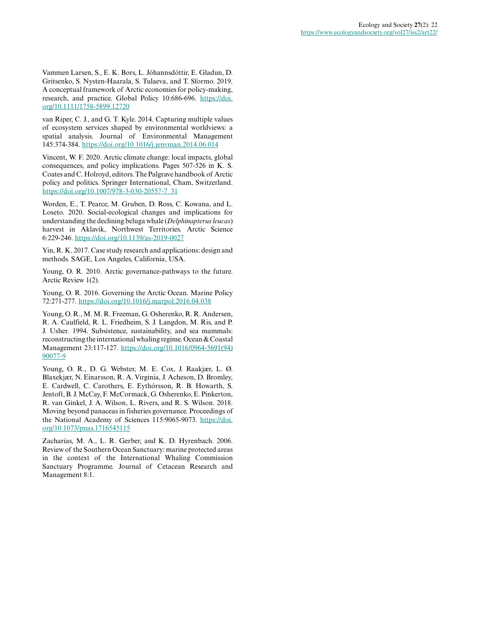Vammen Larsen, S., E. K. Bors, L. Jóhannsdóttir, E. Gladun, D. Gritsenko, S. Nysten-Haarala, S. Tulaeva, and T. Sformo. 2019. A conceptual framework of Arctic economies for policy-making, research, and practice. Global Policy 10:686-696. [https://doi.](https://doi.org/10.1111/1758-5899.12720) [org/10.1111/1758-5899.12720](https://doi.org/10.1111/1758-5899.12720)

van Riper, C. J., and G. T. Kyle. 2014. Capturing multiple values of ecosystem services shaped by environmental worldviews: a spatial analysis. Journal of Environmental Management 145:374-384. <https://doi.org/10.1016/j.jenvman.2014.06.014>

Vincent, W. F. 2020. Arctic climate change: local impacts, global consequences, and policy implications. Pages 507-526 in K. S. Coates and C. Holroyd, editors. The Palgrave handbook of Arctic policy and politics. Springer International, Cham, Switzerland. [https://doi.org/10.1007/978-3-030-20557-7\\_31](https://doi.org/10.1007/978-3-030-20557-7_31) 

Worden, E., T. Pearce, M. Gruben, D. Ross, C. Kowana, and L. Loseto. 2020. Social-ecological changes and implications for understanding the declining beluga whale (*Delphinapterus leucas*) harvest in Aklavik, Northwest Territories. Arctic Science 6:229-246. <https://doi.org/10.1139/as-2019-0027>

Yin, R. K. 2017. Case study research and applications: design and methods. SAGE, Los Angeles, California, USA.

Young, O. R. 2010. Arctic governance-pathways to the future. Arctic Review 1(2).

Young, O. R. 2016. Governing the Arctic Ocean. Marine Policy 72:271-277.<https://doi.org/10.1016/j.marpol.2016.04.038>

Young, O. R., M. M. R. Freeman, G. Osherenko, R. R. Andersen, R. A. Caulfield, R. L. Friedheim, S. J. Langdon, M. Ris, and P. J. Usher. 1994. Subsistence, sustainability, and sea mammals: reconstructing the international whaling regime. Ocean & Coastal Management 23:117-127. [https://doi.org/10.1016/0964-5691\(94\)](https://doi.org/10.1016/0964-5691(94)90077-9) [90077-9](https://doi.org/10.1016/0964-5691(94)90077-9) 

Young, O. R., D. G. Webster, M. E. Cox, J. Raakjær, L. Ø. Blaxekjær, N. Einarsson, R. A. Virginia, J. Acheson, D. Bromley, E. Cardwell, C. Carothers, E. Eythórsson, R. B. Howarth, S. Jentoft, B. J. McCay, F. McCormack, G. Osherenko, E. Pinkerton, R. van Ginkel, J. A. Wilson, L. Rivers, and R. S. Wilson. 2018. Moving beyond panaceas in fisheries governance. Proceedings of the National Academy of Sciences 115:9065-9073. [https://doi.](https://doi.org/10.1073/pnas.1716545115) [org/10.1073/pnas.1716545115](https://doi.org/10.1073/pnas.1716545115) 

Zacharias, M. A., L. R. Gerber, and K. D. Hyrenbach. 2006. Review of the Southern Ocean Sanctuary: marine protected areas in the context of the International Whaling Commission Sanctuary Programme. Journal of Cetacean Research and Management 8:1.